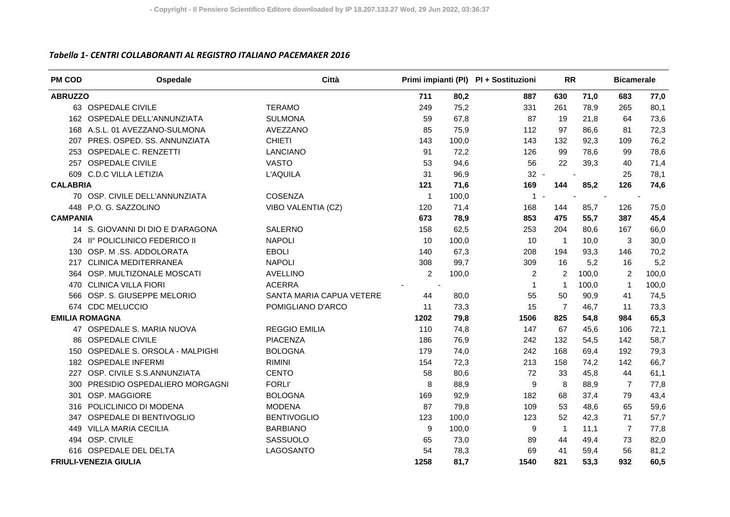## *Tabella 1‐ CENTRI COLLABORANTI AL REGISTRO ITALIANO PACEMAKER 2016*

| <b>PM COD</b>   | Ospedale                          | Città                    |                |       | Primi impianti (PI) PI + Sostituzioni | <b>RR</b>      |       | <b>Bicamerale</b> |       |
|-----------------|-----------------------------------|--------------------------|----------------|-------|---------------------------------------|----------------|-------|-------------------|-------|
| <b>ABRUZZO</b>  |                                   |                          | 711            | 80,2  | 887                                   | 630            | 71,0  | 683               | 77,0  |
|                 | 63 OSPEDALE CIVILE                | <b>TERAMO</b>            | 249            | 75,2  | 331                                   | 261            | 78,9  | 265               | 80,1  |
|                 | 162 OSPEDALE DELL'ANNUNZIATA      | <b>SULMONA</b>           | 59             | 67,8  | 87                                    | 19             | 21,8  | 64                | 73,6  |
|                 | 168 A.S.L. 01 AVEZZANO-SULMONA    | AVEZZANO                 | 85             | 75,9  | 112                                   | 97             | 86.6  | 81                | 72,3  |
| 207             | PRES. OSPED. SS. ANNUNZIATA       | <b>CHIETI</b>            | 143            | 100,0 | 143                                   | 132            | 92,3  | 109               | 76,2  |
|                 | 253 OSPEDALE C. RENZETTI          | <b>LANCIANO</b>          | 91             | 72,2  | 126                                   | 99             | 78,6  | 99                | 78,6  |
|                 | 257 OSPEDALE CIVILE               | <b>VASTO</b>             | 53             | 94,6  | 56                                    | 22             | 39,3  | 40                | 71,4  |
|                 | 609 C.D.C VILLA LETIZIA           | <b>L'AQUILA</b>          | 31             | 96,9  | $32 -$                                |                |       | 25                | 78,1  |
| <b>CALABRIA</b> |                                   |                          | 121            | 71,6  | 169                                   | 144            | 85,2  | 126               | 74,6  |
|                 | 70 OSP. CIVILE DELL'ANNUNZIATA    | <b>COSENZA</b>           | $\overline{1}$ | 100,0 | $1 -$                                 |                |       |                   |       |
|                 | 448 P.O. G. SAZZOLINO             | VIBO VALENTIA (CZ)       | 120            | 71,4  | 168                                   | 144            | 85,7  | 126               | 75,0  |
| <b>CAMPANIA</b> |                                   |                          | 673            | 78,9  | 853                                   | 475            | 55,7  | 387               | 45,4  |
|                 | 14 S. GIOVANNI DI DIO E D'ARAGONA | <b>SALERNO</b>           | 158            | 62,5  | 253                                   | 204            | 80,6  | 167               | 66,0  |
|                 | 24 II° POLICLINICO FEDERICO II    | <b>NAPOLI</b>            | 10             | 100,0 | 10                                    | $\mathbf{1}$   | 10,0  | 3                 | 30,0  |
|                 | 130 OSP. M.SS. ADDOLORATA         | <b>EBOLI</b>             | 140            | 67,3  | 208                                   | 194            | 93,3  | 146               | 70,2  |
|                 | 217 CLINICA MEDITERRANEA          | <b>NAPOLI</b>            | 308            | 99,7  | 309                                   | 16             | 5,2   | 16                | 5,2   |
|                 | 364 OSP. MULTIZONALE MOSCATI      | <b>AVELLINO</b>          | $\overline{2}$ | 100,0 | 2                                     | 2              | 100,0 | 2                 | 100,0 |
| 470             | <b>CLINICA VILLA FIORI</b>        | <b>ACERRA</b>            |                |       | $\mathbf{1}$                          | $\mathbf{1}$   | 100,0 | $\mathbf{1}$      | 100,0 |
|                 | 566 OSP. S. GIUSEPPE MELORIO      | SANTA MARIA CAPUA VETERE | 44             | 80,0  | 55                                    | 50             | 90,9  | 41                | 74,5  |
|                 | 674 CDC MELUCCIO                  | POMIGLIANO D'ARCO        | 11             | 73,3  | 15                                    | $\overline{7}$ | 46,7  | 11                | 73,3  |
|                 | <b>EMILIA ROMAGNA</b>             |                          | 1202           | 79,8  | 1506                                  | 825            | 54,8  | 984               | 65,3  |
|                 | 47 OSPEDALE S. MARIA NUOVA        | <b>REGGIO EMILIA</b>     | 110            | 74,8  | 147                                   | 67             | 45,6  | 106               | 72,1  |
| 86.             | <b>OSPEDALE CIVILE</b>            | <b>PIACENZA</b>          | 186            | 76,9  | 242                                   | 132            | 54,5  | 142               | 58,7  |
| 150             | OSPEDALE S. ORSOLA - MALPIGHI     | <b>BOLOGNA</b>           | 179            | 74,0  | 242                                   | 168            | 69,4  | 192               | 79,3  |
|                 | 182 OSPEDALE INFERMI              | <b>RIMINI</b>            | 154            | 72,3  | 213                                   | 158            | 74,2  | 142               | 66,7  |
| 227             | OSP. CIVILE S.S.ANNUNZIATA        | <b>CENTO</b>             | 58             | 80,6  | 72                                    | 33             | 45,8  | 44                | 61,1  |
| 300             | PRESIDIO OSPEDALIERO MORGAGNI     | <b>FORLI'</b>            | 8              | 88,9  | 9                                     | 8              | 88,9  | $\overline{7}$    | 77,8  |
| 301             | OSP. MAGGIORE                     | <b>BOLOGNA</b>           | 169            | 92,9  | 182                                   | 68             | 37,4  | 79                | 43,4  |
| 316             | POLICLINICO DI MODENA             | <b>MODENA</b>            | 87             | 79,8  | 109                                   | 53             | 48,6  | 65                | 59,6  |
|                 | 347 OSPEDALE DI BENTIVOGLIO       | <b>BENTIVOGLIO</b>       | 123            | 100,0 | 123                                   | 52             | 42,3  | 71                | 57,7  |
| 449             | <b>VILLA MARIA CECILIA</b>        | <b>BARBIANO</b>          | 9              | 100,0 | 9                                     | $\mathbf{1}$   | 11,1  | $\overline{7}$    | 77,8  |
|                 | 494 OSP. CIVILE                   | SASSUOLO                 | 65             | 73,0  | 89                                    | 44             | 49,4  | 73                | 82,0  |
|                 | 616 OSPEDALE DEL DELTA            | LAGOSANTO                | 54             | 78,3  | 69                                    | 41             | 59,4  | 56                | 81,2  |
|                 | <b>FRIULI-VENEZIA GIULIA</b>      |                          | 1258           | 81,7  | 1540                                  | 821            | 53,3  | 932               | 60,5  |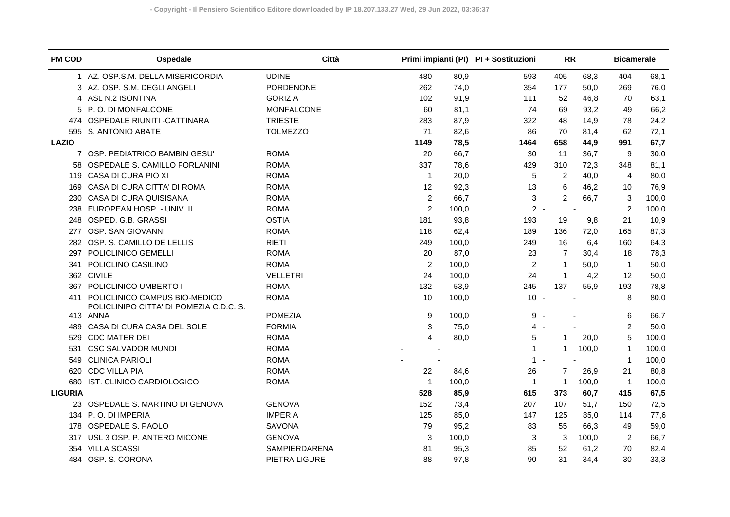| <b>PM COD</b>  | Ospedale                                                                 | Città             |                |       | Primi impianti (PI) PI + Sostituzioni | <b>RR</b>        |       | <b>Bicamerale</b> |       |
|----------------|--------------------------------------------------------------------------|-------------------|----------------|-------|---------------------------------------|------------------|-------|-------------------|-------|
|                | AZ. OSP.S.M. DELLA MISERICORDIA                                          | <b>UDINE</b>      | 480            | 80,9  | 593                                   | 405              | 68,3  | 404               | 68,1  |
|                | 3 AZ. OSP. S.M. DEGLI ANGELI                                             | PORDENONE         | 262            | 74,0  | 354                                   | 177              | 50,0  | 269               | 76,0  |
|                | 4 ASL N.2 ISONTINA                                                       | <b>GORIZIA</b>    | 102            | 91,9  | 111                                   | 52               | 46,8  | 70                | 63,1  |
|                | 5 P.O. DI MONFALCONE                                                     | <b>MONFALCONE</b> | 60             | 81,1  | 74                                    | 69               | 93,2  | 49                | 66,2  |
|                | 474 OSPEDALE RIUNITI - CATTINARA                                         | <b>TRIESTE</b>    | 283            | 87,9  | 322                                   | 48               | 14,9  | 78                | 24,2  |
|                | 595 S. ANTONIO ABATE                                                     | <b>TOLMEZZO</b>   | 71             | 82,6  | 86                                    | 70               | 81,4  | 62                | 72,1  |
| <b>LAZIO</b>   |                                                                          |                   | 1149           | 78,5  | 1464                                  | 658              | 44,9  | 991               | 67,7  |
| $\overline{7}$ | OSP. PEDIATRICO BAMBIN GESU'                                             | <b>ROMA</b>       | 20             | 66,7  | 30                                    | 11               | 36,7  | 9                 | 30,0  |
|                | 58 OSPEDALE S. CAMILLO FORLANINI                                         | <b>ROMA</b>       | 337            | 78,6  | 429                                   | 310              | 72,3  | 348               | 81,1  |
|                | 119 CASA DI CURA PIO XI                                                  | <b>ROMA</b>       | $\mathbf{1}$   | 20,0  | 5                                     | $\boldsymbol{2}$ | 40,0  | $\overline{4}$    | 80,0  |
| 169            | CASA DI CURA CITTA' DI ROMA                                              | <b>ROMA</b>       | 12             | 92,3  | 13                                    | 6                | 46,2  | 10                | 76,9  |
| 230            | CASA DI CURA QUISISANA                                                   | <b>ROMA</b>       | $\overline{c}$ | 66,7  | 3                                     | $\overline{2}$   | 66,7  | 3                 | 100,0 |
| 238            | EUROPEAN HOSP. - UNIV. II                                                | <b>ROMA</b>       | $\overline{2}$ | 100,0 | $2 -$                                 |                  |       | $\overline{2}$    | 100,0 |
| 248            | OSPED. G.B. GRASSI                                                       | <b>OSTIA</b>      | 181            | 93,8  | 193                                   | 19               | 9,8   | 21                | 10,9  |
| 277            | OSP. SAN GIOVANNI                                                        | <b>ROMA</b>       | 118            | 62,4  | 189                                   | 136              | 72,0  | 165               | 87,3  |
|                | 282 OSP. S. CAMILLO DE LELLIS                                            | <b>RIETI</b>      | 249            | 100,0 | 249                                   | 16               | 6,4   | 160               | 64,3  |
| 297            | POLICLINICO GEMELLI                                                      | <b>ROMA</b>       | 20             | 87,0  | 23                                    | $\overline{7}$   | 30,4  | 18                | 78,3  |
| 341            | POLICLINO CASILINO                                                       | <b>ROMA</b>       | $\overline{2}$ | 100,0 | $\overline{c}$                        | $\mathbf{1}$     | 50,0  | $\mathbf{1}$      | 50,0  |
|                | 362 CIVILE                                                               | <b>VELLETRI</b>   | 24             | 100,0 | 24                                    | $\mathbf{1}$     | 4,2   | 12                | 50,0  |
| 367            | POLICLINICO UMBERTO I                                                    | <b>ROMA</b>       | 132            | 53,9  | 245                                   | 137              | 55,9  | 193               | 78,8  |
| 411            | POLICLINICO CAMPUS BIO-MEDICO<br>POLICLINIPO CITTA' DI POMEZIA C.D.C. S. | <b>ROMA</b>       | 10             | 100,0 | $10 -$                                |                  |       | 8                 | 80,0  |
|                | 413 ANNA                                                                 | <b>POMEZIA</b>    | 9              | 100,0 | $9 -$                                 |                  |       | 6                 | 66,7  |
| 489            | CASA DI CURA CASA DEL SOLE                                               | <b>FORMIA</b>     | 3              | 75,0  | $4 -$                                 |                  |       | $\overline{c}$    | 50,0  |
| 529            | <b>CDC MATER DEI</b>                                                     | <b>ROMA</b>       | 4              | 80,0  | 5                                     | 1                | 20,0  | 5                 | 100,0 |
| 531            | <b>CSC SALVADOR MUNDI</b>                                                | <b>ROMA</b>       |                |       | $\mathbf 1$                           | 1                | 100,0 | $\mathbf{1}$      | 100,0 |
| 549            | <b>CLINICA PARIOLI</b>                                                   | <b>ROMA</b>       |                |       | $\mathbf{1}$<br>$\sim$                |                  |       | $\mathbf{1}$      | 100,0 |
|                | 620 CDC VILLA PIA                                                        | <b>ROMA</b>       | 22             | 84,6  | 26                                    | $\overline{7}$   | 26,9  | 21                | 80,8  |
| 680            | IST. CLINICO CARDIOLOGICO                                                | <b>ROMA</b>       | $\mathbf{1}$   | 100,0 | $\mathbf 1$                           | 1                | 100,0 | $\mathbf{1}$      | 100,0 |
| <b>LIGURIA</b> |                                                                          |                   | 528            | 85,9  | 615                                   | 373              | 60,7  | 415               | 67,5  |
| 23             | OSPEDALE S. MARTINO DI GENOVA                                            | <b>GENOVA</b>     | 152            | 73,4  | 207                                   | 107              | 51,7  | 150               | 72,5  |
|                | 134 P.O. DI IMPERIA                                                      | <b>IMPERIA</b>    | 125            | 85,0  | 147                                   | 125              | 85,0  | 114               | 77,6  |
|                | 178 OSPEDALE S. PAOLO                                                    | <b>SAVONA</b>     | 79             | 95,2  | 83                                    | 55               | 66,3  | 49                | 59,0  |
| 317            | USL 3 OSP. P. ANTERO MICONE                                              | <b>GENOVA</b>     | 3              | 100,0 | 3                                     | 3                | 100,0 | 2                 | 66,7  |
| 354            | <b>VILLA SCASSI</b>                                                      | SAMPIERDARENA     | 81             | 95,3  | 85                                    | 52               | 61,2  | 70                | 82,4  |
| 484            | OSP. S. CORONA                                                           | PIETRA LIGURE     | 88             | 97,8  | 90                                    | 31               | 34,4  | 30                | 33,3  |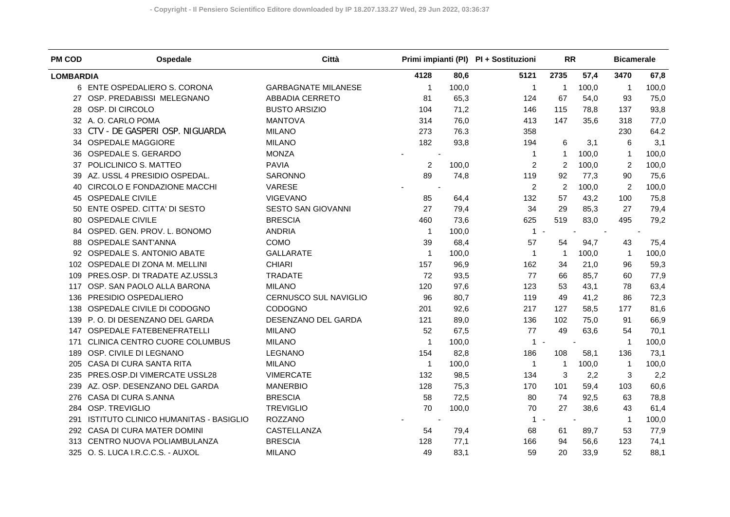| <b>PM COD</b>    | Ospedale                              | Città                      |                |       | Primi impianti (PI) PI + Sostituzioni | <b>RR</b>      |       | <b>Bicamerale</b> |       |
|------------------|---------------------------------------|----------------------------|----------------|-------|---------------------------------------|----------------|-------|-------------------|-------|
| <b>LOMBARDIA</b> |                                       |                            | 4128           | 80,6  | 5121                                  | 2735           | 57,4  | 3470              | 67,8  |
|                  | 6 ENTE OSPEDALIERO S. CORONA          | <b>GARBAGNATE MILANESE</b> | 1              | 100,0 | $\mathbf{1}$                          | $\mathbf{1}$   | 100,0 | 1                 | 100,0 |
|                  | 27 OSP. PREDABISSI MELEGNANO          | ABBADIA CERRETO            | 81             | 65,3  | 124                                   | 67             | 54,0  | 93                | 75,0  |
| 28               | OSP. DI CIRCOLO                       | <b>BUSTO ARSIZIO</b>       | 104            | 71,2  | 146                                   | 115            | 78,8  | 137               | 93,8  |
| 32               | A. O. CARLO POMA                      | <b>MANTOVA</b>             | 314            | 76,0  | 413                                   | 147            | 35,6  | 318               | 77,0  |
| 33               | CTV - DE GASPERI OSP. NIGUARDA        | <b>MILANO</b>              | 273            | 76.3  | 358                                   |                |       | 230               | 64.2  |
| 34               | <b>OSPEDALE MAGGIORE</b>              | <b>MILANO</b>              | 182            | 93,8  | 194                                   | 6              | 3,1   | 6                 | 3,1   |
| 36               | OSPEDALE S. GERARDO                   | <b>MONZA</b>               |                |       | $\mathbf 1$                           | $\mathbf{1}$   | 100,0 | 1                 | 100,0 |
| 37               | POLICLINICO S. MATTEO                 | <b>PAVIA</b>               | 2              | 100,0 | 2                                     | 2              | 100,0 | $\overline{c}$    | 100,0 |
| 39               | AZ. USSL 4 PRESIDIO OSPEDAL.          | SARONNO                    | 89             | 74,8  | 119                                   | 92             | 77,3  | 90                | 75,6  |
| 40               | CIRCOLO E FONDAZIONE MACCHI           | VARESE                     |                |       | 2                                     | $\overline{2}$ | 100,0 | $\overline{2}$    | 100,0 |
| 45               | <b>OSPEDALE CIVILE</b>                | <b>VIGEVANO</b>            | 85             | 64,4  | 132                                   | 57             | 43,2  | 100               | 75,8  |
| 50               | ENTE OSPED. CITTA' DI SESTO           | SESTO SAN GIOVANNI         | 27             | 79,4  | 34                                    | 29             | 85,3  | 27                | 79,4  |
| 80               | <b>OSPEDALE CIVILE</b>                | <b>BRESCIA</b>             | 460            | 73,6  | 625                                   | 519            | 83,0  | 495               | 79,2  |
| 84               | OSPED. GEN. PROV. L. BONOMO           | <b>ANDRIA</b>              | $\mathbf{1}$   | 100,0 | $1 -$                                 |                |       |                   |       |
| 88               | <b>OSPEDALE SANT'ANNA</b>             | COMO                       | 39             | 68,4  | 57                                    | 54             | 94,7  | 43                | 75,4  |
| 92               | OSPEDALE S. ANTONIO ABATE             | <b>GALLARATE</b>           | $\mathbf{1}$   | 100,0 | $\mathbf{1}$                          | $\overline{1}$ | 100,0 | $\mathbf{1}$      | 100,0 |
| 102              | OSPEDALE DI ZONA M. MELLINI           | <b>CHIARI</b>              | 157            | 96,9  | 162                                   | 34             | 21,0  | 96                | 59,3  |
| 109              | PRES.OSP. DI TRADATE AZ.USSL3         | <b>TRADATE</b>             | 72             | 93,5  | 77                                    | 66             | 85,7  | 60                | 77,9  |
| 117              | OSP. SAN PAOLO ALLA BARONA            | <b>MILANO</b>              | 120            | 97,6  | 123                                   | 53             | 43,1  | 78                | 63,4  |
| 136              | PRESIDIO OSPEDALIERO                  | CERNUSCO SUL NAVIGLIO      | 96             | 80,7  | 119                                   | 49             | 41,2  | 86                | 72,3  |
|                  | 138 OSPEDALE CIVILE DI CODOGNO        | <b>CODOGNO</b>             | 201            | 92,6  | 217                                   | 127            | 58,5  | 177               | 81,6  |
|                  | 139 P.O. DI DESENZANO DEL GARDA       | DESENZANO DEL GARDA        | 121            | 89,0  | 136                                   | 102            | 75,0  | 91                | 66,9  |
|                  | 147 OSPEDALE FATEBENEFRATELLI         | <b>MILANO</b>              | 52             | 67,5  | 77                                    | 49             | 63,6  | 54                | 70,1  |
| 171              | CLINICA CENTRO CUORE COLUMBUS         | <b>MILANO</b>              | $\mathbf{1}$   | 100,0 | $1 -$                                 |                |       | $\mathbf{1}$      | 100,0 |
| 189              | OSP. CIVILE DI LEGNANO                | <b>LEGNANO</b>             | 154            | 82,8  | 186                                   | 108            | 58,1  | 136               | 73,1  |
| 205              | CASA DI CURA SANTA RITA               | <b>MILANO</b>              | $\overline{1}$ | 100,0 | $\mathbf 1$                           | $\mathbf{1}$   | 100,0 | $\mathbf{1}$      | 100,0 |
| 235              | PRES.OSP.DI VIMERCATE USSL28          | <b>VIMERCATE</b>           | 132            | 98,5  | 134                                   | 3              | 2,2   | 3                 | 2,2   |
|                  | 239 AZ. OSP. DESENZANO DEL GARDA      | <b>MANERBIO</b>            | 128            | 75,3  | 170                                   | 101            | 59,4  | 103               | 60,6  |
| 276              | CASA DI CURA S.ANNA                   | <b>BRESCIA</b>             | 58             | 72,5  | 80                                    | 74             | 92,5  | 63                | 78,8  |
| 284              | OSP. TREVIGLIO                        | <b>TREVIGLIO</b>           | 70             | 100,0 | 70                                    | 27             | 38,6  | 43                | 61,4  |
| 291              | ISTITUTO CLINICO HUMANITAS - BASIGLIO | <b>ROZZANO</b>             |                |       | $1 -$                                 |                |       | $\mathbf{1}$      | 100,0 |
| 292              | CASA DI CURA MATER DOMINI             | CASTELLANZA                | 54             | 79,4  | 68                                    | 61             | 89,7  | 53                | 77,9  |
| 313              | CENTRO NUOVA POLIAMBULANZA            | <b>BRESCIA</b>             | 128            | 77,1  | 166                                   | 94             | 56,6  | 123               | 74,1  |
|                  | 325 O. S. LUCA I.R.C.C.S. - AUXOL     | <b>MILANO</b>              | 49             | 83,1  | 59                                    | 20             | 33,9  | 52                | 88,1  |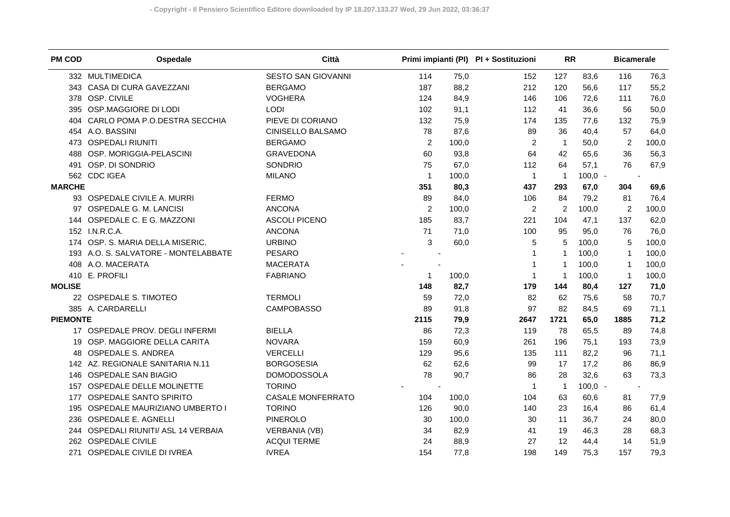| <b>PM COD</b>   | Ospedale                             | Città                    |                |       | Primi impianti (PI) PI + Sostituzioni | <b>RR</b>      |           | <b>Bicamerale</b> |       |
|-----------------|--------------------------------------|--------------------------|----------------|-------|---------------------------------------|----------------|-----------|-------------------|-------|
|                 | 332 MULTIMEDICA                      | SESTO SAN GIOVANNI       | 114            | 75,0  | 152                                   | 127            | 83,6      | 116               | 76,3  |
|                 | 343 CASA DI CURA GAVEZZANI           | <b>BERGAMO</b>           | 187            | 88,2  | 212                                   | 120            | 56,6      | 117               | 55,2  |
|                 | 378 OSP. CIVILE                      | <b>VOGHERA</b>           | 124            | 84,9  | 146                                   | 106            | 72,6      | 111               | 76,0  |
| 395             | OSP.MAGGIORE DI LODI                 | LODI                     | 102            | 91,1  | 112                                   | 41             | 36,6      | 56                | 50,0  |
| 404             | CARLO POMA P.O.DESTRA SECCHIA        | PIEVE DI CORIANO         | 132            | 75,9  | 174                                   | 135            | 77,6      | 132               | 75,9  |
|                 | 454 A.O. BASSINI                     | CINISELLO BALSAMO        | 78             | 87,6  | 89                                    | 36             | 40,4      | 57                | 64,0  |
| 473.            | <b>OSPEDALI RIUNITI</b>              | <b>BERGAMO</b>           | $\overline{2}$ | 100,0 | $\overline{2}$                        | $\overline{1}$ | 50,0      | 2                 | 100,0 |
| 488             | OSP. MORIGGIA-PELASCINI              | <b>GRAVEDONA</b>         | 60             | 93,8  | 64                                    | 42             | 65,6      | 36                | 56,3  |
| 491             | OSP. DI SONDRIO                      | SONDRIO                  | 75             | 67,0  | 112                                   | 64             | 57,1      | 76                | 67,9  |
|                 | 562 CDC IGEA                         | <b>MILANO</b>            | 1              | 100,0 | $\mathbf{1}$                          | $\overline{1}$ | $100,0 -$ |                   |       |
| <b>MARCHE</b>   |                                      |                          | 351            | 80,3  | 437                                   | 293            | 67,0      | 304               | 69,6  |
|                 | 93 OSPEDALE CIVILE A. MURRI          | <b>FERMO</b>             | 89             | 84,0  | 106                                   | 84             | 79,2      | 81                | 76,4  |
|                 | 97 OSPEDALE G. M. LANCISI            | <b>ANCONA</b>            | $\overline{2}$ | 100,0 | $\overline{2}$                        | $\overline{c}$ | 100,0     | 2                 | 100,0 |
|                 | 144 OSPEDALE C. E G. MAZZONI         | <b>ASCOLI PICENO</b>     | 185            | 83,7  | 221                                   | 104            | 47,1      | 137               | 62,0  |
|                 | 152 I.N.R.C.A.                       | <b>ANCONA</b>            | 71             | 71,0  | 100                                   | 95             | 95,0      | 76                | 76,0  |
|                 | 174 OSP. S. MARIA DELLA MISERIC.     | <b>URBINO</b>            | 3              | 60,0  | 5                                     | 5              | 100,0     | 5                 | 100,0 |
|                 | 193 A.O. S. SALVATORE - MONTELABBATE | <b>PESARO</b>            |                |       | $\mathbf 1$                           | 1              | 100,0     | $\mathbf{1}$      | 100,0 |
| 408             | A.O. MACERATA                        | <b>MACERATA</b>          |                |       | $\mathbf 1$                           | $\mathbf 1$    | 100,0     | 1                 | 100,0 |
|                 | 410 E. PROFILI                       | <b>FABRIANO</b>          | 1              | 100,0 | $\mathbf 1$                           | $\mathbf 1$    | 100,0     | $\mathbf{1}$      | 100,0 |
| <b>MOLISE</b>   |                                      |                          | 148            | 82,7  | 179                                   | 144            | 80,4      | 127               | 71,0  |
|                 | 22 OSPEDALE S. TIMOTEO               | <b>TERMOLI</b>           | 59             | 72,0  | 82                                    | 62             | 75,6      | 58                | 70,7  |
|                 | 385 A. CARDARELLI                    | <b>CAMPOBASSO</b>        | 89             | 91,8  | 97                                    | 82             | 84,5      | 69                | 71,1  |
| <b>PIEMONTE</b> |                                      |                          | 2115           | 79,9  | 2647                                  | 1721           | 65,0      | 1885              | 71,2  |
|                 | 17 OSPEDALE PROV. DEGLI INFERMI      | <b>BIELLA</b>            | 86             | 72,3  | 119                                   | 78             | 65,5      | 89                | 74,8  |
|                 | 19 OSP. MAGGIORE DELLA CARITA        | <b>NOVARA</b>            | 159            | 60,9  | 261                                   | 196            | 75,1      | 193               | 73,9  |
| 48              | <b>OSPEDALE S. ANDREA</b>            | <b>VERCELLI</b>          | 129            | 95,6  | 135                                   | 111            | 82,2      | 96                | 71,1  |
|                 | 142 AZ. REGIONALE SANITARIA N.11     | <b>BORGOSESIA</b>        | 62             | 62,6  | 99                                    | 17             | 17,2      | 86                | 86,9  |
| 146             | <b>OSPEDALE SAN BIAGIO</b>           | <b>DOMODOSSOLA</b>       | 78             | 90,7  | 86                                    | 28             | 32,6      | 63                | 73,3  |
| 157             | OSPEDALE DELLE MOLINETTE             | <b>TORINO</b>            |                |       | $\mathbf 1$                           | $\overline{1}$ | $100,0 -$ |                   |       |
| 177             | <b>OSPEDALE SANTO SPIRITO</b>        | <b>CASALE MONFERRATO</b> | 104            | 100,0 | 104                                   | 63             | 60,6      | 81                | 77,9  |
| 195             | OSPEDALE MAURIZIANO UMBERTO I        | <b>TORINO</b>            | 126            | 90,0  | 140                                   | 23             | 16,4      | 86                | 61,4  |
| 236             | OSPEDALE E. AGNELLI                  | <b>PINEROLO</b>          | 30             | 100,0 | 30                                    | 11             | 36,7      | 24                | 80,0  |
| 244             | OSPEDALI RIUNITI/ ASL 14 VERBAIA     | <b>VERBANIA (VB)</b>     | 34             | 82,9  | 41                                    | 19             | 46,3      | 28                | 68,3  |
| 262             | <b>OSPEDALE CIVILE</b>               | <b>ACQUI TERME</b>       | 24             | 88,9  | 27                                    | 12             | 44,4      | 14                | 51,9  |
| 271             | OSPEDALE CIVILE DI IVREA             | <b>IVREA</b>             | 154            | 77,8  | 198                                   | 149            | 75,3      | 157               | 79,3  |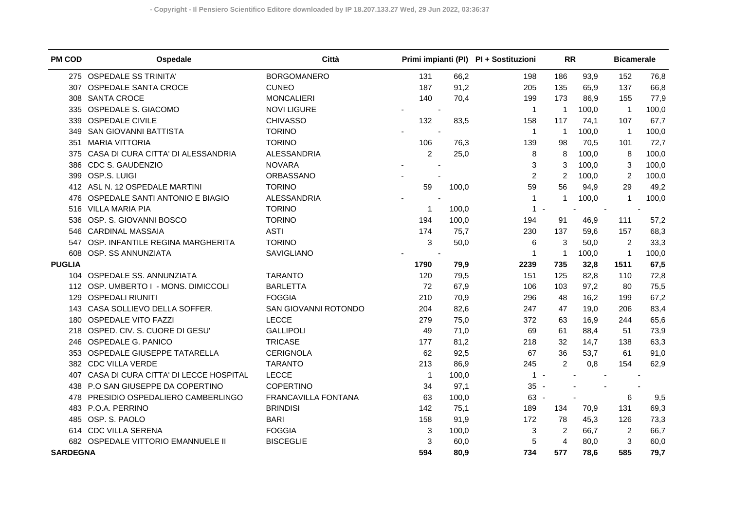| <b>PM COD</b>   | Ospedale                              | Città                |                |       | Primi impianti (PI) PI + Sostituzioni | <b>RR</b>      |       | <b>Bicamerale</b> |       |
|-----------------|---------------------------------------|----------------------|----------------|-------|---------------------------------------|----------------|-------|-------------------|-------|
|                 | 275 OSPEDALE SS TRINITA'              | <b>BORGOMANERO</b>   | 131            | 66,2  | 198                                   | 186            | 93,9  | 152               | 76,8  |
| 307             | OSPEDALE SANTA CROCE                  | <b>CUNEO</b>         | 187            | 91,2  | 205                                   | 135            | 65,9  | 137               | 66,8  |
| 308             | <b>SANTA CROCE</b>                    | <b>MONCALIERI</b>    | 140            | 70,4  | 199                                   | 173            | 86,9  | 155               | 77,9  |
| 335             | OSPEDALE S. GIACOMO                   | <b>NOVI LIGURE</b>   |                |       | $\mathbf{1}$                          | $\overline{1}$ | 100,0 | $\overline{1}$    | 100,0 |
| 339             | <b>OSPEDALE CIVILE</b>                | <b>CHIVASSO</b>      | 132            | 83,5  | 158                                   | 117            | 74,1  | 107               | 67,7  |
| 349             | <b>SAN GIOVANNI BATTISTA</b>          | <b>TORINO</b>        |                |       | $\overline{1}$                        | $\mathbf 1$    | 100,0 | -1                | 100,0 |
| 351             | <b>MARIA VITTORIA</b>                 | <b>TORINO</b>        | 106            | 76,3  | 139                                   | 98             | 70,5  | 101               | 72,7  |
| 375             | CASA DI CURA CITTA' DI ALESSANDRIA    | ALESSANDRIA          | $\overline{2}$ | 25,0  | 8                                     | 8              | 100,0 | 8                 | 100,0 |
| 386             | <b>CDC S. GAUDENZIO</b>               | <b>NOVARA</b>        |                |       | 3                                     | 3              | 100,0 | 3                 | 100,0 |
| 399             | OSP.S. LUIGI                          | ORBASSANO            |                |       | $\overline{c}$                        | $\overline{2}$ | 100,0 | $\overline{c}$    | 100,0 |
|                 | 412 ASL N. 12 OSPEDALE MARTINI        | <b>TORINO</b>        | 59             | 100,0 | 59                                    | 56             | 94,9  | 29                | 49,2  |
| 476             | OSPEDALE SANTI ANTONIO E BIAGIO       | ALESSANDRIA          |                |       | 1                                     | $\mathbf{1}$   | 100,0 | $\overline{1}$    | 100,0 |
| 516             | <b>VILLA MARIA PIA</b>                | <b>TORINO</b>        | -1             | 100,0 | $\mathbf{1}$                          |                |       |                   |       |
| 536             | OSP. S. GIOVANNI BOSCO                | <b>TORINO</b>        | 194            | 100,0 | 194                                   | 91             | 46,9  | 111               | 57,2  |
| 546             | <b>CARDINAL MASSAIA</b>               | <b>ASTI</b>          | 174            | 75,7  | 230                                   | 137            | 59,6  | 157               | 68,3  |
| 547             | OSP. INFANTILE REGINA MARGHERITA      | <b>TORINO</b>        | 3              | 50,0  | 6                                     | 3              | 50,0  | $\overline{2}$    | 33,3  |
| 608             | OSP. SS ANNUNZIATA                    | SAVIGLIANO           |                |       | $\mathbf 1$                           | $\overline{1}$ | 100,0 | $\overline{1}$    | 100,0 |
| <b>PUGLIA</b>   |                                       |                      | 1790           | 79,9  | 2239                                  | 735            | 32,8  | 1511              | 67,5  |
|                 | 104 OSPEDALE SS. ANNUNZIATA           | <b>TARANTO</b>       | 120            | 79,5  | 151                                   | 125            | 82.8  | 110               | 72,8  |
|                 | 112 OSP. UMBERTO I - MONS. DIMICCOLI  | <b>BARLETTA</b>      | 72             | 67,9  | 106                                   | 103            | 97,2  | 80                | 75,5  |
| 129             | <b>OSPEDALI RIUNITI</b>               | <b>FOGGIA</b>        | 210            | 70,9  | 296                                   | 48             | 16,2  | 199               | 67,2  |
| 143             | CASA SOLLIEVO DELLA SOFFER.           | SAN GIOVANNI ROTONDO | 204            | 82,6  | 247                                   | 47             | 19,0  | 206               | 83,4  |
| 180             | <b>OSPEDALE VITO FAZZI</b>            | <b>LECCE</b>         | 279            | 75,0  | 372                                   | 63             | 16,9  | 244               | 65,6  |
| 218             | OSPED. CIV. S. CUORE DI GESU'         | <b>GALLIPOLI</b>     | 49             | 71,0  | 69                                    | 61             | 88,4  | 51                | 73,9  |
| 246             | OSPEDALE G. PANICO                    | <b>TRICASE</b>       | 177            | 81,2  | 218                                   | 32             | 14,7  | 138               | 63,3  |
| 353             | OSPEDALE GIUSEPPE TATARELLA           | <b>CERIGNOLA</b>     | 62             | 92,5  | 67                                    | 36             | 53,7  | 61                | 91,0  |
| 382             | <b>CDC VILLA VERDE</b>                | <b>TARANTO</b>       | 213            | 86,9  | 245                                   | $\overline{2}$ | 0,8   | 154               | 62,9  |
| 407             | CASA DI CURA CITTA' DI LECCE HOSPITAL | <b>LECCE</b>         | $\overline{1}$ | 100,0 | $1 -$                                 |                |       |                   |       |
| 438             | P.O SAN GIUSEPPE DA COPERTINO         | <b>COPERTINO</b>     | 34             | 97,1  | $35 -$                                |                |       |                   |       |
| 478             | PRESIDIO OSPEDALIERO CAMBERLINGO      | FRANCAVILLA FONTANA  | 63             | 100,0 | 63 -                                  |                |       | 6                 | 9,5   |
| 483             | P.O.A. PERRINO                        | <b>BRINDISI</b>      | 142            | 75,1  | 189                                   | 134            | 70,9  | 131               | 69,3  |
| 485             | OSP. S. PAOLO                         | <b>BARI</b>          | 158            | 91,9  | 172                                   | 78             | 45,3  | 126               | 73,3  |
| 614             | <b>CDC VILLA SERENA</b>               | <b>FOGGIA</b>        | 3              | 100,0 | 3                                     | $\overline{2}$ | 66,7  | 2                 | 66,7  |
| 682             | OSPEDALE VITTORIO EMANNUELE II        | <b>BISCEGLIE</b>     | 3              | 60,0  | 5                                     | 4              | 80,0  | 3                 | 60,0  |
| <b>SARDEGNA</b> |                                       |                      | 594            | 80,9  | 734                                   | 577            | 78,6  | 585               | 79,7  |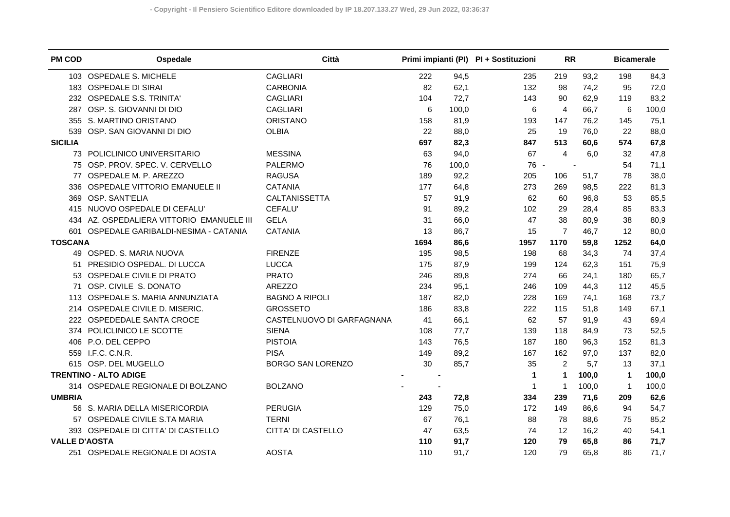| <b>PM COD</b>        | Ospedale                              | Città                     |      |       | Primi impianti (PI) PI + Sostituzioni | <b>RR</b>      |       | <b>Bicamerale</b> |       |
|----------------------|---------------------------------------|---------------------------|------|-------|---------------------------------------|----------------|-------|-------------------|-------|
|                      | 103 OSPEDALE S. MICHELE               | <b>CAGLIARI</b>           | 222  | 94,5  | 235                                   | 219            | 93,2  | 198               | 84,3  |
|                      | 183 OSPEDALE DI SIRAI                 | <b>CARBONIA</b>           | 82   | 62,1  | 132                                   | 98             | 74,2  | 95                | 72,0  |
|                      | 232 OSPEDALE S.S. TRINITA'            | <b>CAGLIARI</b>           | 104  | 72,7  | 143                                   | 90             | 62,9  | 119               | 83,2  |
| 287                  | OSP. S. GIOVANNI DI DIO               | <b>CAGLIARI</b>           | 6    | 100,0 | 6                                     | $\overline{a}$ | 66,7  | 6                 | 100,0 |
| 355                  | S. MARTINO ORISTANO                   | <b>ORISTANO</b>           | 158  | 81,9  | 193                                   | 147            | 76,2  | 145               | 75,1  |
| 539                  | OSP. SAN GIOVANNI DI DIO              | <b>OLBIA</b>              | 22   | 88,0  | 25                                    | 19             | 76,0  | 22                | 88,0  |
| <b>SICILIA</b>       |                                       |                           | 697  | 82,3  | 847                                   | 513            | 60,6  | 574               | 67,8  |
|                      | 73 POLICLINICO UNIVERSITARIO          | <b>MESSINA</b>            | 63   | 94,0  | 67                                    | $\overline{4}$ | 6,0   | 32                | 47,8  |
|                      | 75 OSP. PROV. SPEC. V. CERVELLO       | <b>PALERMO</b>            | 76   | 100,0 | 76 -                                  |                |       | 54                | 71,1  |
| 77                   | OSPEDALE M. P. AREZZO                 | <b>RAGUSA</b>             | 189  | 92,2  | 205                                   | 106            | 51,7  | 78                | 38,0  |
|                      | 336 OSPEDALE VITTORIO EMANUELE II     | <b>CATANIA</b>            | 177  | 64,8  | 273                                   | 269            | 98,5  | 222               | 81,3  |
| 369                  | OSP. SANT'ELIA                        | CALTANISSETTA             | 57   | 91,9  | 62                                    | 60             | 96,8  | 53                | 85,5  |
|                      | 415 NUOVO OSPEDALE DI CEFALU'         | <b>CEFALU</b>             | 91   | 89,2  | 102                                   | 29             | 28,4  | 85                | 83,3  |
| 434                  | AZ. OSPEDALIERA VITTORIO EMANUELE III | <b>GELA</b>               | 31   | 66,0  | 47                                    | 38             | 80,9  | 38                | 80,9  |
| 601                  | OSPEDALE GARIBALDI-NESIMA - CATANIA   | <b>CATANIA</b>            | 13   | 86,7  | 15                                    | $\overline{7}$ | 46,7  | 12                | 80,0  |
| <b>TOSCANA</b>       |                                       |                           | 1694 | 86,6  | 1957                                  | 1170           | 59,8  | 1252              | 64,0  |
|                      | 49 OSPED. S. MARIA NUOVA              | <b>FIRENZE</b>            | 195  | 98,5  | 198                                   | 68             | 34,3  | 74                | 37,4  |
|                      | 51 PRESIDIO OSPEDAL. DI LUCCA         | <b>LUCCA</b>              | 175  | 87,9  | 199                                   | 124            | 62,3  | 151               | 75,9  |
|                      | 53 OSPEDALE CIVILE DI PRATO           | <b>PRATO</b>              | 246  | 89,8  | 274                                   | 66             | 24,1  | 180               | 65,7  |
| 71                   | OSP. CIVILE S. DONATO                 | AREZZO                    | 234  | 95,1  | 246                                   | 109            | 44,3  | 112               | 45,5  |
|                      | 113 OSPEDALE S. MARIA ANNUNZIATA      | <b>BAGNO A RIPOLI</b>     | 187  | 82,0  | 228                                   | 169            | 74,1  | 168               | 73,7  |
|                      | 214 OSPEDALE CIVILE D. MISERIC.       | <b>GROSSETO</b>           | 186  | 83,8  | 222                                   | 115            | 51,8  | 149               | 67,1  |
|                      | 222 OSPEDEDALE SANTA CROCE            | CASTELNUOVO DI GARFAGNANA | 41   | 66,1  | 62                                    | 57             | 91,9  | 43                | 69,4  |
|                      | 374 POLICLINICO LE SCOTTE             | <b>SIENA</b>              | 108  | 77,7  | 139                                   | 118            | 84,9  | 73                | 52,5  |
|                      | 406 P.O. DEL CEPPO                    | <b>PISTOIA</b>            | 143  | 76,5  | 187                                   | 180            | 96,3  | 152               | 81,3  |
|                      | 559 I.F.C. C.N.R.                     | <b>PISA</b>               | 149  | 89,2  | 167                                   | 162            | 97,0  | 137               | 82,0  |
|                      | 615 OSP. DEL MUGELLO                  | <b>BORGO SAN LORENZO</b>  | 30   | 85,7  | 35                                    | 2              | 5,7   | 13                | 37,1  |
|                      | <b>TRENTINO - ALTO ADIGE</b>          |                           |      |       | 1                                     | 1              | 100,0 | $\mathbf{1}$      | 100,0 |
|                      | 314 OSPEDALE REGIONALE DI BOLZANO     | <b>BOLZANO</b>            |      |       | 1                                     | $\overline{1}$ | 100,0 | $\mathbf 1$       | 100,0 |
| <b>UMBRIA</b>        |                                       |                           | 243  | 72,8  | 334                                   | 239            | 71,6  | 209               | 62,6  |
|                      | 56 S. MARIA DELLA MISERICORDIA        | <b>PERUGIA</b>            | 129  | 75,0  | 172                                   | 149            | 86,6  | 94                | 54,7  |
|                      | 57 OSPEDALE CIVILE S.TA MARIA         | <b>TERNI</b>              | 67   | 76,1  | 88                                    | 78             | 88,6  | 75                | 85,2  |
|                      | 393 OSPEDALE DI CITTA' DI CASTELLO    | CITTA' DI CASTELLO        | 47   | 63,5  | 74                                    | 12             | 16,2  | 40                | 54,1  |
| <b>VALLE D'AOSTA</b> |                                       |                           | 110  | 91,7  | 120                                   | 79             | 65,8  | 86                | 71,7  |
|                      | 251 OSPEDALE REGIONALE DI AOSTA       | <b>AOSTA</b>              | 110  | 91,7  | 120                                   | 79             | 65.8  | 86                | 71,7  |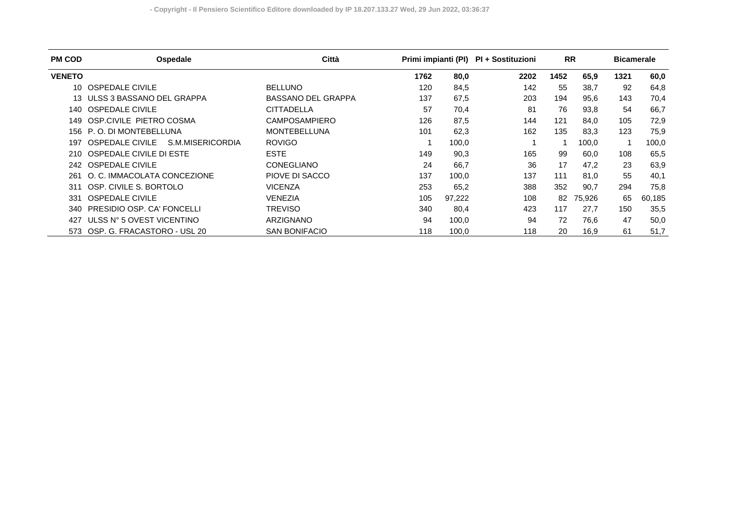| <b>PM COD</b> | Ospedale                                   | Città                     | Primi impianti (PI) |        | PI + Sostituzioni | <b>RR</b> |        | <b>Bicamerale</b> |        |
|---------------|--------------------------------------------|---------------------------|---------------------|--------|-------------------|-----------|--------|-------------------|--------|
| <b>VENETO</b> |                                            |                           | 1762                | 80,0   | 2202              | 1452      | 65,9   | 1321              | 60,0   |
| 10            | <b>OSPEDALE CIVILE</b>                     | <b>BELLUNO</b>            | 120                 | 84,5   | 142               | 55        | 38,7   | 92                | 64,8   |
|               | ULSS 3 BASSANO DEL GRAPPA                  | <b>BASSANO DEL GRAPPA</b> | 137                 | 67,5   | 203               | 194       | 95,6   | 143               | 70,4   |
| 140           | <b>OSPEDALE CIVILE</b>                     | <b>CITTADELLA</b>         | 57                  | 70,4   | 81                | 76        | 93,8   | 54                | 66,7   |
| 149           | OSP.CIVILE PIETRO COSMA                    | <b>CAMPOSAMPIERO</b>      | 126                 | 87,5   | 144               | 121       | 84.0   | 105               | 72,9   |
| 156           | P.O. DI MONTEBELLUNA                       | <b>MONTEBELLUNA</b>       | 101                 | 62,3   | 162               | 135       | 83,3   | 123               | 75,9   |
| 197           | S.M.MISERICORDIA<br><b>OSPEDALE CIVILE</b> | <b>ROVIGO</b>             |                     | 100,0  |                   |           | 100,0  |                   | 100,0  |
| 210           | OSPEDALE CIVILE DI ESTE                    | <b>ESTE</b>               | 149                 | 90,3   | 165               | 99        | 60,0   | 108               | 65,5   |
| 242.          | <b>OSPEDALE CIVILE</b>                     | <b>CONEGLIANO</b>         | 24                  | 66,7   | 36                | 17        | 47,2   | 23                | 63,9   |
| 261.          | O. C. IMMACOLATA CONCEZIONE                | PIOVE DI SACCO            | 137                 | 100,0  | 137               | 111       | 81,0   | 55                | 40,1   |
| 311           | OSP. CIVILE S. BORTOLO                     | <b>VICENZA</b>            | 253                 | 65,2   | 388               | 352       | 90,7   | 294               | 75,8   |
| 331           | <b>OSPEDALE CIVILE</b>                     | <b>VENEZIA</b>            | 105                 | 97,222 | 108               | 82        | 75,926 | 65                | 60,185 |
| 340-          | PRESIDIO OSP. CA' FONCELLI                 | TREVISO                   | 340                 | 80,4   | 423               | 117       | 27,7   | 150               | 35,5   |
| 427           | ULSS N° 5 OVEST VICENTINO                  | <b>ARZIGNANO</b>          | 94                  | 100,0  | 94                | 72        | 76.6   | 47                | 50,0   |
| 573           | OSP. G. FRACASTORO - USL 20                | <b>SAN BONIFACIO</b>      | 118                 | 100,0  | 118               | 20        | 16,9   | 61                | 51,7   |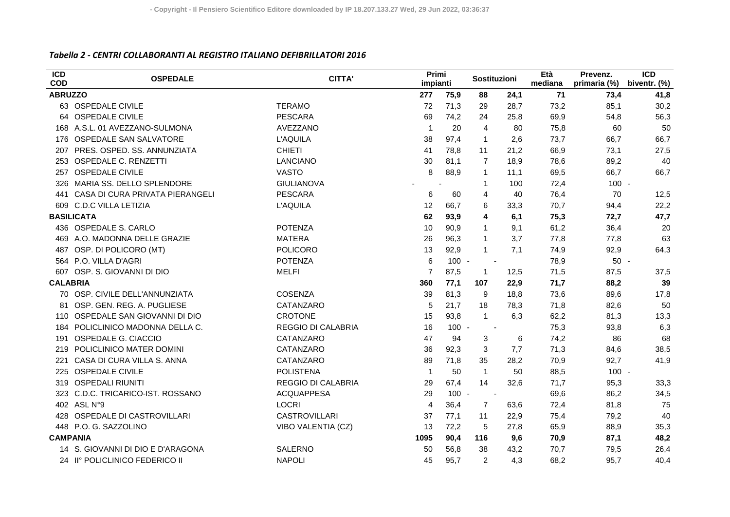## *Tabella 2 ‐ CENTRI COLLABORANTI AL REGISTRO ITALIANO DEFIBRILLATORI 2016*

| $\overline{ICD}$<br><b>COD</b> | <b>OSPEDALE</b>                   | <b>CITTA'</b>             | Primi<br>impianti |         | Sostituzioni   |      | Età<br>mediana | Prevenz.<br>primaria (%) | $\overline{ICD}$<br>biventr. (%) |
|--------------------------------|-----------------------------------|---------------------------|-------------------|---------|----------------|------|----------------|--------------------------|----------------------------------|
| <b>ABRUZZO</b>                 |                                   |                           | 277               | 75,9    | 88             | 24,1 | 71             | 73,4                     | 41,8                             |
|                                | 63 OSPEDALE CIVILE                | <b>TERAMO</b>             | 72                | 71,3    | 29             | 28,7 | 73,2           | 85,1                     | 30,2                             |
|                                | 64 OSPEDALE CIVILE                | <b>PESCARA</b>            | 69                | 74,2    | 24             | 25,8 | 69,9           | 54,8                     | 56,3                             |
|                                | 168 A.S.L. 01 AVEZZANO-SULMONA    | AVEZZANO                  | $\overline{1}$    | 20      | 4              | 80   | 75,8           | 60                       | 50                               |
| 176                            | OSPEDALE SAN SALVATORE            | L'AQUILA                  | 38                | 97,4    | $\overline{1}$ | 2,6  | 73,7           | 66,7                     | 66,7                             |
| 207                            | PRES. OSPED. SS. ANNUNZIATA       | <b>CHIETI</b>             | 41                | 78.8    | 11             | 21,2 | 66,9           | 73,1                     | 27,5                             |
| 253                            | <b>OSPEDALE C. RENZETTI</b>       | <b>LANCIANO</b>           | 30                | 81,1    | $\overline{7}$ | 18,9 | 78,6           | 89,2                     | 40                               |
| 257                            | <b>OSPEDALE CIVILE</b>            | <b>VASTO</b>              | 8                 | 88,9    | 1              | 11.1 | 69,5           | 66,7                     | 66,7                             |
| 326                            | MARIA SS. DELLO SPLENDORE         | <b>GIULIANOVA</b>         |                   |         | 1              | 100  | 72,4           | $100 -$                  |                                  |
| 441                            | CASA DI CURA PRIVATA PIERANGELI   | <b>PESCARA</b>            | 6                 | 60      | 4              | 40   | 76,4           | 70                       | 12,5                             |
|                                | 609 C.D.C VILLA LETIZIA           | L'AQUILA                  | 12                | 66,7    | 6              | 33,3 | 70,7           | 94,4                     | 22,2                             |
|                                | <b>BASILICATA</b>                 |                           | 62                | 93,9    | 4              | 6,1  | 75,3           | 72,7                     | 47,7                             |
|                                | 436 OSPEDALE S. CARLO             | <b>POTENZA</b>            | 10                | 90,9    | $\mathbf{1}$   | 9,1  | 61,2           | 36,4                     | 20                               |
| 469                            | A.O. MADONNA DELLE GRAZIE         | <b>MATERA</b>             | 26                | 96,3    | $\mathbf{1}$   | 3,7  | 77,8           | 77,8                     | 63                               |
| 487                            | OSP. DI POLICORO (MT)             | POLICORO                  | 13                | 92,9    | $\mathbf{1}$   | 7,1  | 74,9           | 92,9                     | 64,3                             |
|                                | 564 P.O. VILLA D'AGRI             | <b>POTENZA</b>            | 6                 | $100 -$ |                |      | 78,9           | $50 -$                   |                                  |
| 607                            | OSP. S. GIOVANNI DI DIO           | <b>MELFI</b>              | $\overline{7}$    | 87,5    | $\mathbf{1}$   | 12,5 | 71,5           | 87,5                     | 37,5                             |
| <b>CALABRIA</b>                |                                   |                           | 360               | 77,1    | 107            | 22,9 | 71,7           | 88,2                     | 39                               |
|                                | 70 OSP. CIVILE DELL'ANNUNZIATA    | COSENZA                   | 39                | 81,3    | 9              | 18,8 | 73,6           | 89,6                     | 17,8                             |
| 81                             | OSP. GEN. REG. A. PUGLIESE        | CATANZARO                 | 5                 | 21,7    | 18             | 78,3 | 71,8           | 82,6                     | 50                               |
|                                | 110 OSPEDALE SAN GIOVANNI DI DIO  | <b>CROTONE</b>            | 15                | 93,8    | $\mathbf{1}$   | 6,3  | 62,2           | 81,3                     | 13,3                             |
| 184                            | POLICLINICO MADONNA DELLA C.      | <b>REGGIO DI CALABRIA</b> | 16                | $100 -$ |                |      | 75,3           | 93,8                     | 6,3                              |
| 191                            | OSPEDALE G. CIACCIO               | CATANZARO                 | 47                | 94      | 3              | 6    | 74,2           | 86                       | 68                               |
| 219                            | POLICLINICO MATER DOMINI          | CATANZARO                 | 36                | 92,3    | 3              | 7,7  | 71,3           | 84,6                     | 38,5                             |
| 221                            | CASA DI CURA VILLA S. ANNA        | CATANZARO                 | 89                | 71,8    | 35             | 28,2 | 70,9           | 92,7                     | 41,9                             |
| 225                            | <b>OSPEDALE CIVILE</b>            | <b>POLISTENA</b>          | $\overline{1}$    | 50      | $\overline{1}$ | 50   | 88,5           | $100 -$                  |                                  |
| 319                            | <b>OSPEDALI RIUNITI</b>           | <b>REGGIO DI CALABRIA</b> | 29                | 67,4    | 14             | 32,6 | 71,7           | 95,3                     | 33,3                             |
| 323                            | C.D.C. TRICARICO-IST. ROSSANO     | <b>ACQUAPPESA</b>         | 29                | $100 -$ |                |      | 69,6           | 86,2                     | 34,5                             |
|                                | 402 ASL N°9                       | <b>LOCRI</b>              | $\overline{4}$    | 36,4    | $\overline{7}$ | 63,6 | 72,4           | 81,8                     | 75                               |
| 428                            | OSPEDALE DI CASTROVILLARI         | <b>CASTROVILLARI</b>      | 37                | 77,1    | 11             | 22,9 | 75,4           | 79,2                     | 40                               |
| 448                            | P.O. G. SAZZOLINO                 | VIBO VALENTIA (CZ)        | 13                | 72,2    | 5              | 27,8 | 65,9           | 88,9                     | 35,3                             |
| <b>CAMPANIA</b>                |                                   |                           | 1095              | 90,4    | 116            | 9,6  | 70,9           | 87,1                     | 48,2                             |
|                                | 14 S. GIOVANNI DI DIO E D'ARAGONA | <b>SALERNO</b>            | 50                | 56,8    | 38             | 43,2 | 70,7           | 79,5                     | 26,4                             |
|                                | 24 II° POLICLINICO FEDERICO II    | <b>NAPOLI</b>             | 45                | 95,7    | $\overline{2}$ | 4,3  | 68,2           | 95,7                     | 40.4                             |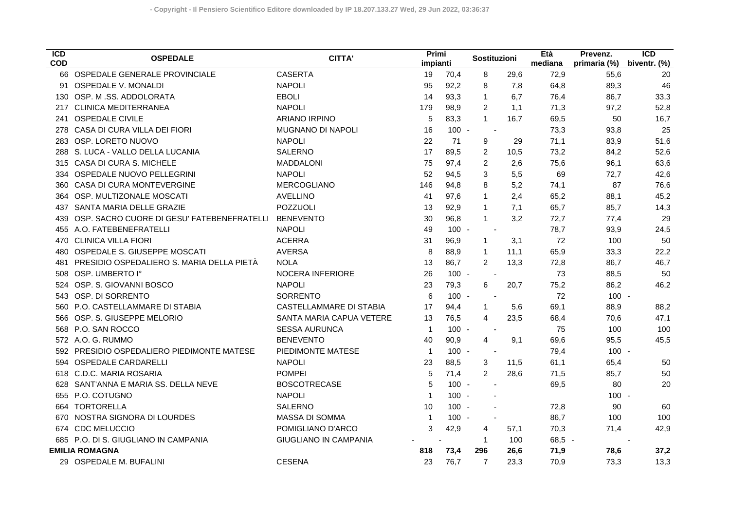| $\overline{ICD}$<br><b>COD</b> | <b>OSPEDALE</b>                               | <b>CITTA'</b>                | Primi<br>impianti |         | Sostituzioni             |      | Età<br>mediana | Prevenz.<br>primaria (%) | $\overline{ICD}$<br>biventr. (%) |
|--------------------------------|-----------------------------------------------|------------------------------|-------------------|---------|--------------------------|------|----------------|--------------------------|----------------------------------|
|                                | 66 OSPEDALE GENERALE PROVINCIALE              | <b>CASERTA</b>               | 19                | 70,4    | 8                        | 29,6 | 72,9           | 55,6                     | 20                               |
| 91                             | <b>OSPEDALE V. MONALDI</b>                    | <b>NAPOLI</b>                | 95                | 92,2    | 8                        | 7,8  | 64,8           | 89,3                     | 46                               |
| 130                            | OSP. M.SS. ADDOLORATA                         | <b>EBOLI</b>                 | 14                | 93,3    | $\mathbf{1}$             | 6,7  | 76,4           | 86,7                     | 33,3                             |
| 217                            | <b>CLINICA MEDITERRANEA</b>                   | <b>NAPOLI</b>                | 179               | 98,9    | $\overline{c}$           | 1,1  | 71,3           | 97,2                     | 52,8                             |
| 241                            | <b>OSPEDALE CIVILE</b>                        | <b>ARIANO IRPINO</b>         | 5                 | 83,3    | $\mathbf{1}$             | 16,7 | 69,5           | 50                       | 16,7                             |
| 278                            | CASA DI CURA VILLA DEI FIORI                  | <b>MUGNANO DI NAPOLI</b>     | 16                | $100 -$ | $\overline{\phantom{a}}$ |      | 73,3           | 93,8                     | 25                               |
| 283                            | OSP. LORETO NUOVO                             | <b>NAPOLI</b>                | 22                | 71      | 9                        | 29   | 71,1           | 83,9                     | 51,6                             |
| 288                            | S. LUCA - VALLO DELLA LUCANIA                 | <b>SALERNO</b>               | 17                | 89,5    | 2                        | 10,5 | 73,2           | 84,2                     | 52,6                             |
| 315                            | CASA DI CURA S. MICHELE                       | <b>MADDALONI</b>             | 75                | 97,4    | 2                        | 2,6  | 75,6           | 96,1                     | 63,6                             |
| 334                            | OSPEDALE NUOVO PELLEGRINI                     | <b>NAPOLI</b>                | 52                | 94,5    | 3                        | 5,5  | 69             | 72,7                     | 42,6                             |
| 360                            | CASA DI CURA MONTEVERGINE                     | MERCOGLIANO                  | 146               | 94,8    | 8                        | 5,2  | 74,1           | 87                       | 76,6                             |
| 364                            | OSP. MULTIZONALE MOSCATI                      | <b>AVELLINO</b>              | 41                | 97,6    | $\mathbf{1}$             | 2,4  | 65,2           | 88,1                     | 45,2                             |
| 437                            | SANTA MARIA DELLE GRAZIE                      | POZZUOLI                     | 13                | 92,9    | $\mathbf 1$              | 7,1  | 65,7           | 85,7                     | 14,3                             |
| 439                            | OSP. SACRO CUORE DI GESU' FATEBENEFRATELLI    | <b>BENEVENTO</b>             | 30                | 96,8    | $\mathbf{1}$             | 3,2  | 72,7           | 77,4                     | 29                               |
| 455                            | A.O. FATEBENEFRATELLI                         | <b>NAPOLI</b>                | 49                | $100 -$ | $\sim$                   |      | 78,7           | 93,9                     | 24,5                             |
| 470                            | <b>CLINICA VILLA FIORI</b>                    | <b>ACERRA</b>                | 31                | 96,9    | $\mathbf{1}$             | 3,1  | 72             | 100                      | 50                               |
| 480                            | OSPEDALE S. GIUSEPPE MOSCATI                  | <b>AVERSA</b>                | 8                 | 88,9    | $\mathbf{1}$             | 11,1 | 65,9           | 33,3                     | 22,2                             |
| 481                            | PRESIDIO OSPEDALIERO S. MARIA DELLA PIETÀ     | <b>NOLA</b>                  | 13                | 86,7    | 2                        | 13,3 | 72,8           | 86,7                     | 46,7                             |
| 508                            | OSP. UMBERTO I°                               | <b>NOCERA INFERIORE</b>      | 26                | $100 -$ | $\overline{\phantom{a}}$ |      | 73             | 88,5                     | 50                               |
| 524                            | OSP. S. GIOVANNI BOSCO                        | <b>NAPOLI</b>                | 23                | 79,3    | 6                        | 20,7 | 75,2           | 86,2                     | 46,2                             |
| 543                            | OSP. DI SORRENTO                              | <b>SORRENTO</b>              | 6                 | $100 -$ | $\overline{\phantom{a}}$ |      | 72             | $100 -$                  |                                  |
| 560                            | P.O. CASTELLAMMARE DI STABIA                  | CASTELLAMMARE DI STABIA      | 17                | 94,4    | $\mathbf{1}$             | 5,6  | 69,1           | 88,9                     | 88,2                             |
| 566.                           | OSP. S. GIUSEPPE MELORIO                      | SANTA MARIA CAPUA VETERE     | 13                | 76,5    | $\overline{4}$           | 23,5 | 68,4           | 70,6                     | 47,1                             |
| 568                            | P.O. SAN ROCCO                                | <b>SESSA AURUNCA</b>         | $\mathbf{1}$      | $100 -$ | $\overline{\phantom{a}}$ |      | 75             | 100                      | 100                              |
|                                | 572 A.O. G. RUMMO                             | <b>BENEVENTO</b>             | 40                | 90,9    | $\overline{4}$           | 9,1  | 69,6           | 95,5                     | 45,5                             |
|                                | <b>PRESIDIO OSPEDALIERO PIEDIMONTE MATESE</b> | PIEDIMONTE MATESE            | $\overline{1}$    | $100 -$ | $\overline{\phantom{a}}$ |      | 79,4           | $100 -$                  |                                  |
| 594.                           | <b>OSPEDALE CARDARELLI</b>                    | <b>NAPOLI</b>                | 23                | 88,5    | 3                        | 11,5 | 61.1           | 65,4                     | 50                               |
| 618                            | C.D.C. MARIA ROSARIA                          | <b>POMPEI</b>                | 5                 | 71,4    | $\overline{2}$           | 28,6 | 71,5           | 85,7                     | 50                               |
| 628                            | SANT'ANNA E MARIA SS. DELLA NEVE              | <b>BOSCOTRECASE</b>          | 5                 | $100 -$ |                          |      | 69,5           | 80                       | 20                               |
| 655                            | P.O. COTUGNO                                  | <b>NAPOLI</b>                | $\mathbf{1}$      | $100 -$ |                          |      |                | $100 -$                  |                                  |
| 664                            | <b>TORTORELLA</b>                             | <b>SALERNO</b>               | 10                | $100 -$ |                          |      | 72,8           | 90                       | 60                               |
| 670                            | NOSTRA SIGNORA DI LOURDES                     | MASSA DI SOMMA               | $\mathbf{1}$      | $100 -$ |                          |      | 86,7           | 100                      | 100                              |
| 674                            | <b>CDC MELUCCIO</b>                           | POMIGLIANO D'ARCO            | 3                 | 42,9    | 4                        | 57,1 | 70,3           | 71,4                     | 42,9                             |
| 685                            | P.O. DI S. GIUGLIANO IN CAMPANIA              | <b>GIUGLIANO IN CAMPANIA</b> |                   |         | $\mathbf{1}$             | 100  | $68,5 -$       |                          |                                  |
|                                | <b>EMILIA ROMAGNA</b>                         |                              | 818               | 73,4    | 296                      | 26,6 | 71,9           | 78,6                     | 37,2                             |
| 29                             | OSPEDALE M. BUFALINI                          | <b>CESENA</b>                | 23                | 76,7    | $\overline{7}$           | 23.3 | 70.9           | 73.3                     | 13.3                             |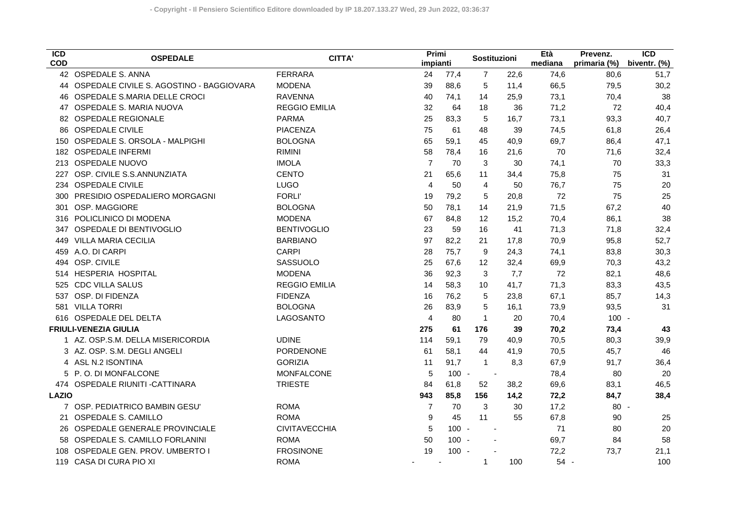| $\overline{ICD}$<br><b>COD</b> | <b>OSPEDALE</b>                             | <b>CITTA'</b>        |                | Primi<br>impianti |                   | Sostituzioni             | Età<br>mediana | Prevenz.<br>primaria (%) | $\overline{ICD}$<br>biventr. (%) |
|--------------------------------|---------------------------------------------|----------------------|----------------|-------------------|-------------------|--------------------------|----------------|--------------------------|----------------------------------|
|                                | 42 OSPEDALE S. ANNA                         | <b>FERRARA</b>       | 24             | 77,4              | $\overline{7}$    | 22,6                     | 74,6           | 80,6                     | 51,7                             |
|                                | 44 OSPEDALE CIVILE S. AGOSTINO - BAGGIOVARA | <b>MODENA</b>        | 39             | 88,6              | 5                 | 11,4                     | 66,5           | 79,5                     | 30,2                             |
|                                | 46 OSPEDALE S.MARIA DELLE CROCI             | <b>RAVENNA</b>       | 40             | 74,1              | 14                | 25,9                     | 73,1           | 70,4                     | 38                               |
|                                | 47 OSPEDALE S. MARIA NUOVA                  | <b>REGGIO EMILIA</b> | 32             | 64                | 18                | 36                       | 71,2           | 72                       | 40,4                             |
|                                | 82 OSPEDALE REGIONALE                       | <b>PARMA</b>         | 25             | 83,3              | 5                 | 16,7                     | 73,1           | 93,3                     | 40,7                             |
| 86                             | <b>OSPEDALE CIVILE</b>                      | <b>PIACENZA</b>      | 75             | 61                | 48                | 39                       | 74,5           | 61,8                     | 26,4                             |
| 150                            | OSPEDALE S. ORSOLA - MALPIGHI               | <b>BOLOGNA</b>       | 65             | 59,1              | 45                | 40,9                     | 69,7           | 86,4                     | 47,1                             |
| 182                            | <b>OSPEDALE INFERMI</b>                     | <b>RIMINI</b>        | 58             | 78,4              | 16                | 21,6                     | 70             | 71,6                     | 32,4                             |
| 213                            | OSPEDALE NUOVO                              | <b>IMOLA</b>         | $\overline{7}$ | 70                | 3                 | 30                       | 74,1           | 70                       | 33,3                             |
| 227                            | OSP. CIVILE S.S.ANNUNZIATA                  | <b>CENTO</b>         | 21             | 65,6              | 11                | 34,4                     | 75,8           | 75                       | 31                               |
|                                | 234 OSPEDALE CIVILE                         | <b>LUGO</b>          | $\overline{4}$ | 50                | $\overline{4}$    | 50                       | 76,7           | 75                       | 20                               |
| 300                            | PRESIDIO OSPEDALIERO MORGAGNI               | <b>FORLI'</b>        | 19             | 79.2              | 5                 | 20,8                     | 72             | 75                       | 25                               |
| 301                            | OSP. MAGGIORE                               | <b>BOLOGNA</b>       | 50             | 78,1              | 14                | 21,9                     | 71,5           | 67,2                     | 40                               |
| 316                            | POLICLINICO DI MODENA                       | <b>MODENA</b>        | 67             | 84,8              | $12 \overline{ }$ | 15,2                     | 70,4           | 86,1                     | 38                               |
| 347                            | OSPEDALE DI BENTIVOGLIO                     | <b>BENTIVOGLIO</b>   | 23             | 59                | 16                | 41                       | 71,3           | 71,8                     | 32,4                             |
| 449                            | <b>VILLA MARIA CECILIA</b>                  | <b>BARBIANO</b>      | 97             | 82,2              | 21                | 17,8                     | 70,9           | 95,8                     | 52,7                             |
| 459                            | A.O. DI CARPI                               | <b>CARPI</b>         | 28             | 75,7              | 9                 | 24,3                     | 74,1           | 83,8                     | 30,3                             |
| 494                            | OSP. CIVILE                                 | SASSUOLO             | 25             | 67,6              | 12                | 32,4                     | 69,9           | 70,3                     | 43,2                             |
| 514                            | <b>HESPERIA HOSPITAL</b>                    | <b>MODENA</b>        | 36             | 92,3              | 3                 | 7,7                      | 72             | 82,1                     | 48,6                             |
| 525                            | <b>CDC VILLA SALUS</b>                      | <b>REGGIO EMILIA</b> | 14             | 58,3              | 10                | 41,7                     | 71,3           | 83,3                     | 43,5                             |
| 537                            | OSP. DI FIDENZA                             | <b>FIDENZA</b>       | 16             | 76,2              | 5                 | 23,8                     | 67,1           | 85,7                     | 14,3                             |
| 581                            | <b>VILLA TORRI</b>                          | <b>BOLOGNA</b>       | 26             | 83,9              | 5                 | 16,1                     | 73,9           | 93,5                     | 31                               |
| 616                            | OSPEDALE DEL DELTA                          | LAGOSANTO            | $\overline{4}$ | 80                | $\mathbf{1}$      | 20                       | 70,4           | $100 -$                  |                                  |
|                                | <b>FRIULI-VENEZIA GIULIA</b>                |                      | 275            | 61                | 176               | 39                       | 70,2           | 73,4                     | 43                               |
|                                | 1 AZ. OSP.S.M. DELLA MISERICORDIA           | <b>UDINE</b>         | 114            | 59,1              | 79                | 40,9                     | 70,5           | 80,3                     | 39,9                             |
|                                | 3 AZ. OSP. S.M. DEGLI ANGELI                | PORDENONE            | 61             | 58,1              | 44                | 41,9                     | 70,5           | 45,7                     | 46                               |
|                                | 4 ASL N.2 ISONTINA                          | <b>GORIZIA</b>       | 11             | 91,7              | $\mathbf{1}$      | 8,3                      | 67,9           | 91,7                     | 36,4                             |
|                                | 5 P.O. DI MONFALCONE                        | <b>MONFALCONE</b>    | 5              |                   | $100 -$           | $\overline{\phantom{a}}$ | 78,4           | 80                       | 20                               |
|                                | 474 OSPEDALE RIUNITI - CATTINARA            | <b>TRIESTE</b>       | 84             | 61,8              | 52                | 38,2                     | 69,6           | 83,1                     | 46,5                             |
| <b>LAZIO</b>                   |                                             |                      | 943            | 85,8              | 156               | 14,2                     | 72,2           | 84,7                     | 38,4                             |
|                                | 7 OSP. PEDIATRICO BAMBIN GESU'              | <b>ROMA</b>          | 7              | 70                | 3                 | 30                       | 17,2           | $80 -$                   |                                  |
|                                | 21 OSPEDALE S. CAMILLO                      | <b>ROMA</b>          |                | 45<br>9           | 11                | 55                       | 67,8           | 90                       | 25                               |
|                                | 26 OSPEDALE GENERALE PROVINCIALE            | <b>CIVITAVECCHIA</b> |                | 5                 | $100 -$           | $\blacksquare$           | 71             | 80                       | 20                               |
|                                | 58 OSPEDALE S. CAMILLO FORLANINI            | <b>ROMA</b>          | 50             |                   | $100 -$           |                          | 69,7           | 84                       | 58                               |
| 108                            | OSPEDALE GEN. PROV. UMBERTO I               | <b>FROSINONE</b>     | 19             |                   | $100 -$           |                          | 72,2           | 73,7                     | 21,1                             |
|                                | 119 CASA DI CURA PIO XI                     | <b>ROMA</b>          |                |                   | 1                 | 100                      | $54 -$         |                          | 100                              |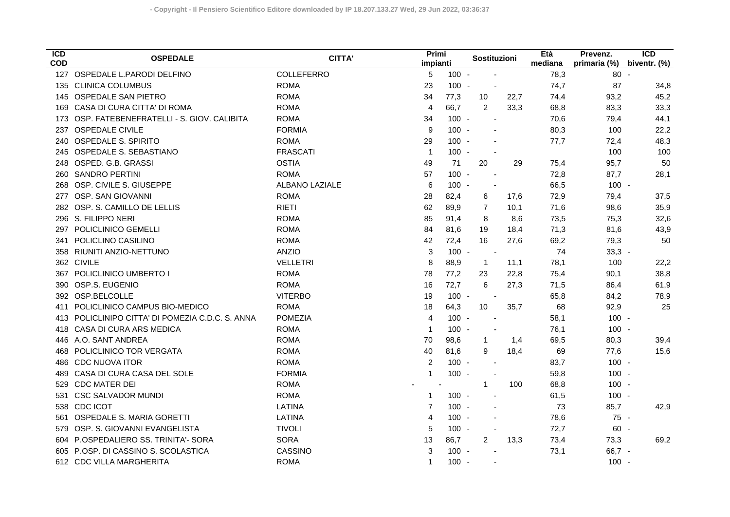| ICD<br><b>COD</b> | <b>OSPEDALE</b>                              | <b>CITTA'</b>   | Primi<br>impianti |         | Sostituzioni             |      | Età<br>mediana | Prevenz.<br>primaria (%) | $\overline{ICD}$<br>biventr. (%) |
|-------------------|----------------------------------------------|-----------------|-------------------|---------|--------------------------|------|----------------|--------------------------|----------------------------------|
|                   | 127 OSPEDALE L.PARODI DELFINO                | COLLEFERRO      | 5                 | $100 -$ |                          |      | 78,3           | $80 -$                   |                                  |
|                   | 135 CLINICA COLUMBUS                         | <b>ROMA</b>     | 23                | $100 -$ |                          |      | 74,7           | 87                       | 34,8                             |
| 145               | OSPEDALE SAN PIETRO                          | <b>ROMA</b>     | 34                | 77,3    | 10                       | 22,7 | 74,4           | 93,2                     | 45,2                             |
| 169               | CASA DI CURA CITTA' DI ROMA                  | <b>ROMA</b>     | $\overline{4}$    | 66,7    | 2                        | 33,3 | 68,8           | 83,3                     | 33,3                             |
| 173               | OSP. FATEBENEFRATELLI - S. GIOV. CALIBITA    | <b>ROMA</b>     | 34                | $100 -$ | $\sim$                   |      | 70,6           | 79,4                     | 44,1                             |
| 237               | <b>OSPEDALE CIVILE</b>                       | <b>FORMIA</b>   | 9                 | $100 -$ |                          |      | 80,3           | 100                      | 22,2                             |
| 240               | <b>OSPEDALE S. SPIRITO</b>                   | <b>ROMA</b>     | 29                | $100 -$ |                          |      | 77,7           | 72,4                     | 48,3                             |
| 245               | OSPEDALE S. SEBASTIANO                       | <b>FRASCATI</b> | $\overline{1}$    | $100 -$ |                          |      |                | 100                      | 100                              |
| 248               | OSPED. G.B. GRASSI                           | <b>OSTIA</b>    | 49                | 71      | 20                       | 29   | 75,4           | 95,7                     | 50                               |
| 260               | <b>SANDRO PERTINI</b>                        | <b>ROMA</b>     | 57                | $100 -$ |                          |      | 72,8           | 87,7                     | 28,1                             |
| 268               | OSP. CIVILE S. GIUSEPPE                      | ALBANO LAZIALE  | 6                 | $100 -$ |                          |      | 66,5           | $100 -$                  |                                  |
| 277               | OSP. SAN GIOVANNI                            | <b>ROMA</b>     | 28                | 82,4    | 6                        | 17,6 | 72,9           | 79,4                     | 37,5                             |
| 282               | OSP. S. CAMILLO DE LELLIS                    | <b>RIETI</b>    | 62                | 89,9    | $\overline{7}$           | 10,1 | 71,6           | 98,6                     | 35,9                             |
| 296               | S. FILIPPO NERI                              | <b>ROMA</b>     | 85                | 91,4    | 8                        | 8,6  | 73,5           | 75,3                     | 32,6                             |
| 297               | POLICLINICO GEMELLI                          | <b>ROMA</b>     | 84                | 81,6    | 19                       | 18,4 | 71,3           | 81,6                     | 43,9                             |
| 341               | POLICLINO CASILINO                           | <b>ROMA</b>     | 42                | 72,4    | 16                       | 27,6 | 69,2           | 79,3                     | 50                               |
| 358               | RIUNITI ANZIO-NETTUNO                        | <b>ANZIO</b>    | 3                 | $100 -$ | $\blacksquare$           |      | 74             | $33,3 -$                 |                                  |
|                   | 362 CIVILE                                   | <b>VELLETRI</b> | 8                 | 88,9    | $\mathbf{1}$             | 11,1 | 78,1           | 100                      | 22,2                             |
| 367               | POLICLINICO UMBERTO I                        | <b>ROMA</b>     | 78                | 77,2    | 23                       | 22,8 | 75,4           | 90,1                     | 38,8                             |
| 390               | OSP.S. EUGENIO                               | <b>ROMA</b>     | 16                | 72,7    | 6                        | 27,3 | 71,5           | 86,4                     | 61,9                             |
|                   | 392 OSP.BELCOLLE                             | <b>VITERBO</b>  | 19                | $100 -$ | $\overline{\phantom{a}}$ |      | 65,8           | 84,2                     | 78,9                             |
| 411               | POLICLINICO CAMPUS BIO-MEDICO                | <b>ROMA</b>     | 18                | 64,3    | 10                       | 35,7 | 68             | 92,9                     | 25                               |
| 413               | POLICLINIPO CITTA' DI POMEZIA C.D.C. S. ANNA | <b>POMEZIA</b>  | $\overline{4}$    | $100 -$ |                          |      | 58,1           | $100 -$                  |                                  |
| 418               | CASA DI CURA ARS MEDICA                      | <b>ROMA</b>     | $\overline{1}$    | $100 -$ |                          |      | 76,1           | $100 -$                  |                                  |
| 446               | A.O. SANT ANDREA                             | <b>ROMA</b>     | 70                | 98,6    | $\mathbf{1}$             | 1,4  | 69,5           | 80,3                     | 39,4                             |
| 468               | POLICLINICO TOR VERGATA                      | <b>ROMA</b>     | 40                | 81,6    | 9                        | 18,4 | 69             | 77,6                     | 15,6                             |
| 486               | <b>CDC NUOVA ITOR</b>                        | <b>ROMA</b>     | 2                 | $100 -$ |                          |      | 83,7           | $100 -$                  |                                  |
| 489               | CASA DI CURA CASA DEL SOLE                   | <b>FORMIA</b>   | $\mathbf{1}$      | $100 -$ |                          |      | 59,8           | $100 -$                  |                                  |
| 529               | <b>CDC MATER DEI</b>                         | <b>ROMA</b>     |                   |         | $\mathbf{1}$             | 100  | 68,8           | $100 -$                  |                                  |
| 531               | <b>CSC SALVADOR MUNDI</b>                    | <b>ROMA</b>     | $\mathbf{1}$      | $100 -$ |                          |      | 61,5           | $100 -$                  |                                  |
|                   | 538 CDC ICOT                                 | LATINA          | $\overline{7}$    | $100 -$ |                          |      | 73             | 85,7                     | 42,9                             |
| 561               | OSPEDALE S. MARIA GORETTI                    | <b>LATINA</b>   | 4                 | $100 -$ |                          |      | 78,6           | 75 -                     |                                  |
| 579               | OSP. S. GIOVANNI EVANGELISTA                 | <b>TIVOLI</b>   | 5                 | $100 -$ |                          |      | 72,7           | $60 -$                   |                                  |
| 604               | P.OSPEDALIERO SS. TRINITA'- SORA             | <b>SORA</b>     | 13                | 86,7    | $\overline{2}$           | 13,3 | 73,4           | 73,3                     | 69,2                             |
| 605               | P.OSP. DI CASSINO S. SCOLASTICA              | CASSINO         | 3                 | $100 -$ |                          |      | 73,1           | $66,7 -$                 |                                  |
|                   | 612 CDC VILLA MARGHERITA                     | <b>ROMA</b>     | $\mathbf{1}$      | $100 -$ |                          |      |                | $100 -$                  |                                  |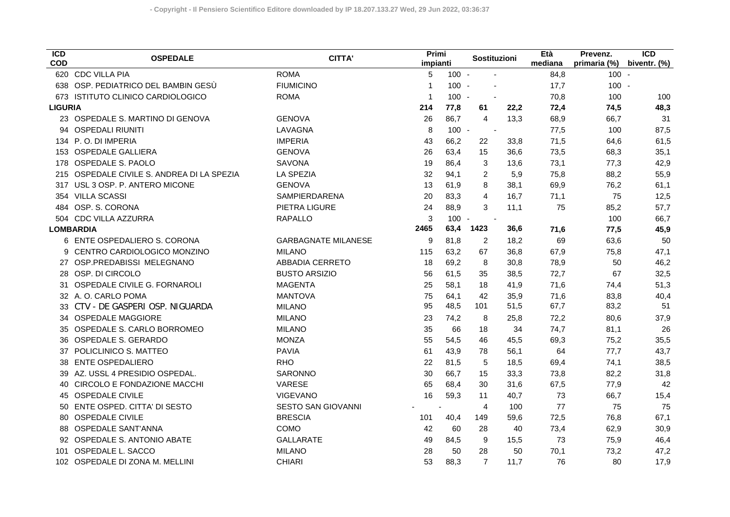| $\overline{ICD}$<br><b>COD</b> | <b>OSPEDALE</b>                        | <b>CITTA'</b>              | Primi<br>impianti |                | Sostituzioni             |      | Età<br>mediana | Prevenz.<br>primaria (%) | $\overline{ICD}$<br>biventr. (%) |
|--------------------------------|----------------------------------------|----------------------------|-------------------|----------------|--------------------------|------|----------------|--------------------------|----------------------------------|
|                                | 620 CDC VILLA PIA                      | <b>ROMA</b>                | 5                 | $100 -$        |                          |      | 84,8           | $100 -$                  |                                  |
|                                | 638 OSP. PEDIATRICO DEL BAMBIN GESÙ    | <b>FIUMICINO</b>           | $\mathbf{1}$      | $100 -$        |                          |      | 17,7           | $100 -$                  |                                  |
| 673                            | ISTITUTO CLINICO CARDIOLOGICO          | <b>ROMA</b>                | $\mathbf{1}$      | $100 -$        |                          |      | 70,8           | 100                      | 100                              |
| <b>LIGURIA</b>                 |                                        |                            | 214               | 77,8           | 61                       | 22,2 | 72,4           | 74,5                     | 48,3                             |
| 23                             | OSPEDALE S. MARTINO DI GENOVA          | <b>GENOVA</b>              | 26                | 86,7           | $\overline{4}$           | 13,3 | 68,9           | 66,7                     | 31                               |
| 94                             | <b>OSPEDALI RIUNITI</b>                | LAVAGNA                    | 8                 | $100 -$        | $\blacksquare$           |      | 77,5           | 100                      | 87,5                             |
| 134                            | P.O. DI IMPERIA                        | <b>IMPERIA</b>             | 43                | 66,2           | 22                       | 33,8 | 71,5           | 64,6                     | 61,5                             |
| 153                            | <b>OSPEDALE GALLIERA</b>               | <b>GENOVA</b>              | 26                | 63,4           | 15                       | 36,6 | 73,5           | 68,3                     | 35,1                             |
| 178                            | OSPEDALE S. PAOLO                      | SAVONA                     | 19                | 86,4           | 3                        | 13,6 | 73,1           | 77,3                     | 42,9                             |
| 215                            | OSPEDALE CIVILE S. ANDREA DI LA SPEZIA | <b>LA SPEZIA</b>           | 32                | 94,1           | $\overline{c}$           | 5,9  | 75,8           | 88,2                     | 55,9                             |
| 317                            | USL 3 OSP. P. ANTERO MICONE            | <b>GENOVA</b>              | 13                | 61,9           | 8                        | 38,1 | 69,9           | 76,2                     | 61,1                             |
| 354                            | <b>VILLA SCASSI</b>                    | <b>SAMPIERDARENA</b>       | 20                | 83,3           | $\overline{4}$           | 16,7 | 71,1           | 75                       | 12,5                             |
| 484                            | OSP. S. CORONA                         | PIETRA LIGURE              | 24                | 88,9           | 3                        | 11,1 | 75             | 85,2                     | 57,7                             |
| 504                            | <b>CDC VILLA AZZURRA</b>               | <b>RAPALLO</b>             | 3                 | $100 -$        | $\overline{\phantom{a}}$ |      |                | 100                      | 66,7                             |
|                                | <b>LOMBARDIA</b>                       |                            | 2465              | 63,4           | 1423                     | 36,6 | 71,6           | 77,5                     | 45,9                             |
| 6                              | ENTE OSPEDALIERO S. CORONA             | <b>GARBAGNATE MILANESE</b> | 9                 | 81,8           | $\overline{c}$           | 18,2 | 69             | 63,6                     | 50                               |
|                                | CENTRO CARDIOLOGICO MONZINO            | <b>MILANO</b>              | 115               | 63,2           | 67                       | 36,8 | 67,9           | 75,8                     | 47,1                             |
| 27                             | OSP.PREDABISSI MELEGNANO               | <b>ABBADIA CERRETO</b>     | 18                | 69,2           | 8                        | 30,8 | 78,9           | 50                       | 46,2                             |
| 28                             | OSP. DI CIRCOLO                        | <b>BUSTO ARSIZIO</b>       | 56                | 61,5           | 35                       | 38,5 | 72,7           | 67                       | 32,5                             |
| 31                             | OSPEDALE CIVILE G. FORNAROLI           | <b>MAGENTA</b>             | 25                | 58,1           | 18                       | 41,9 | 71,6           | 74,4                     | 51,3                             |
|                                | 32 A. O. CARLO POMA                    | <b>MANTOVA</b>             | 75                | 64,1           | 42                       | 35,9 | 71,6           | 83,8                     | 40,4                             |
|                                | CTV - DE GASPERI OSP. NIGUARDA         | <b>MILANO</b>              | 95                | 48,5           | 101                      | 51,5 | 67,7           | 83,2                     | 51                               |
|                                | 34 OSPEDALE MAGGIORE                   | <b>MILANO</b>              | 23                | 74,2           | 8                        | 25,8 | 72,2           | 80,6                     | 37,9                             |
| 35                             | OSPEDALE S. CARLO BORROMEO             | <b>MILANO</b>              | 35                | 66             | 18                       | 34   | 74,7           | 81,1                     | 26                               |
| 36                             | OSPEDALE S. GERARDO                    | <b>MONZA</b>               | 55                | 54,5           | 46                       | 45,5 | 69,3           | 75,2                     | 35,5                             |
| 37                             | POLICLINICO S. MATTEO                  | <b>PAVIA</b>               | 61                | 43,9           | 78                       | 56,1 | 64             | 77,7                     | 43,7                             |
| 38                             | <b>ENTE OSPEDALIERO</b>                | <b>RHO</b>                 | 22                | 81,5           | 5                        | 18,5 | 69,4           | 74,1                     | 38,5                             |
|                                | AZ. USSL 4 PRESIDIO OSPEDAL.           | SARONNO                    | 30                | 66.7           | 15                       | 33,3 | 73,8           | 82,2                     | 31,8                             |
| 40                             | CIRCOLO E FONDAZIONE MACCHI            | <b>VARESE</b>              | 65                | 68,4           | 30                       | 31,6 | 67,5           | 77,9                     | 42                               |
| 45                             | <b>OSPEDALE CIVILE</b>                 | <b>VIGEVANO</b>            | 16                | 59,3           | 11                       | 40,7 | 73             | 66,7                     | 15,4                             |
| 50                             | ENTE OSPED. CITTA' DI SESTO            | <b>SESTO SAN GIOVANNI</b>  |                   | $\blacksquare$ | 4                        | 100  | 77             | 75                       | 75                               |
| 80                             | <b>OSPEDALE CIVILE</b>                 | <b>BRESCIA</b>             | 101               | 40,4           | 149                      | 59,6 | 72,5           | 76,8                     | 67,1                             |
| 88                             | <b>OSPEDALE SANT'ANNA</b>              | COMO                       | 42                | 60             | 28                       | 40   | 73,4           | 62,9                     | 30,9                             |
|                                | 92 OSPEDALE S. ANTONIO ABATE           | <b>GALLARATE</b>           | 49                | 84,5           | 9                        | 15,5 | 73             | 75,9                     | 46,4                             |
| 101                            | OSPEDALE L. SACCO                      | <b>MILANO</b>              | 28                | 50             | 28                       | 50   | 70,1           | 73,2                     | 47,2                             |
|                                | 102 OSPEDALE DI ZONA M. MELLINI        | <b>CHIARI</b>              | 53                | 88,3           | $\overline{7}$           | 11,7 | 76             | 80                       | 17,9                             |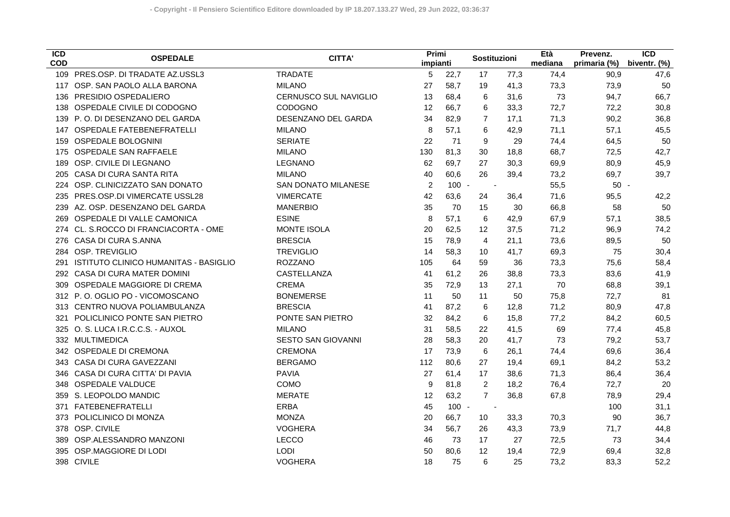| <b>ICD</b><br><b>COD</b> | <b>OSPEDALE</b>                       | <b>CITTA'</b>                | Primi<br>impianti |         | Sostituzioni      |      | Età<br>mediana | Prevenz.<br>primaria (%) | <b>ICD</b><br>biventr. (%) |
|--------------------------|---------------------------------------|------------------------------|-------------------|---------|-------------------|------|----------------|--------------------------|----------------------------|
| 109                      | PRES.OSP. DI TRADATE AZ.USSL3         | <b>TRADATE</b>               | 5                 | 22,7    | 17                | 77,3 | 74,4           | 90,9                     | 47,6                       |
| 117                      | OSP. SAN PAOLO ALLA BARONA            | <b>MILANO</b>                | 27                | 58,7    | 19                | 41,3 | 73,3           | 73,9                     | 50                         |
| 136                      | PRESIDIO OSPEDALIERO                  | <b>CERNUSCO SUL NAVIGLIO</b> | 13                | 68,4    | 6                 | 31,6 | 73             | 94,7                     | 66,7                       |
| 138                      | OSPEDALE CIVILE DI CODOGNO            | CODOGNO                      | 12                | 66,7    | 6                 | 33,3 | 72,7           | 72,2                     | 30,8                       |
| 139                      | P.O. DI DESENZANO DEL GARDA           | DESENZANO DEL GARDA          | 34                | 82,9    | $\overline{7}$    | 17,1 | 71,3           | 90,2                     | 36,8                       |
| 147                      | OSPEDALE FATEBENEFRATELLI             | <b>MILANO</b>                | 8                 | 57,1    | 6                 | 42,9 | 71,1           | 57,1                     | 45,5                       |
| 159                      | <b>OSPEDALE BOLOGNINI</b>             | <b>SERIATE</b>               | 22                | 71      | 9                 | 29   | 74,4           | 64,5                     | 50                         |
| 175                      | OSPEDALE SAN RAFFAELE                 | <b>MILANO</b>                | 130               | 81,3    | 30                | 18,8 | 68,7           | 72,5                     | 42,7                       |
| 189                      | OSP. CIVILE DI LEGNANO                | <b>LEGNANO</b>               | 62                | 69,7    | 27                | 30,3 | 69,9           | 80,9                     | 45,9                       |
| 205                      | CASA DI CURA SANTA RITA               | <b>MILANO</b>                | 40                | 60,6    | 26                | 39,4 | 73,2           | 69,7                     | 39,7                       |
| 224                      | OSP. CLINICIZZATO SAN DONATO          | <b>SAN DONATO MILANESE</b>   | 2                 | $100 -$ |                   |      | 55,5           | $50 -$                   |                            |
| 235                      | PRES.OSP.DI VIMERCATE USSL28          | <b>VIMERCATE</b>             | 42                | 63,6    | 24                | 36,4 | 71,6           | 95,5                     | 42,2                       |
| 239                      | AZ. OSP. DESENZANO DEL GARDA          | <b>MANERBIO</b>              | 35                | 70      | 15                | 30   | 66,8           | 58                       | 50                         |
| 269                      | OSPEDALE DI VALLE CAMONICA            | <b>ESINE</b>                 | 8                 | 57,1    | 6                 | 42,9 | 67,9           | 57,1                     | 38,5                       |
| 274                      | CL. S.ROCCO DI FRANCIACORTA - OME     | <b>MONTE ISOLA</b>           | 20                | 62,5    | $12 \overline{ }$ | 37,5 | 71,2           | 96,9                     | 74,2                       |
| 276                      | CASA DI CURA S.ANNA                   | <b>BRESCIA</b>               | 15                | 78,9    | 4                 | 21,1 | 73,6           | 89,5                     | 50                         |
|                          | 284 OSP. TREVIGLIO                    | <b>TREVIGLIO</b>             | 14                | 58,3    | 10                | 41,7 | 69,3           | 75                       | 30,4                       |
| 291                      | ISTITUTO CLINICO HUMANITAS - BASIGLIO | <b>ROZZANO</b>               | 105               | 64      | 59                | 36   | 73,3           | 75,6                     | 58,4                       |
|                          | 292 CASA DI CURA MATER DOMINI         | CASTELLANZA                  | 41                | 61,2    | 26                | 38,8 | 73,3           | 83,6                     | 41,9                       |
| 309                      | OSPEDALE MAGGIORE DI CREMA            | <b>CREMA</b>                 | 35                | 72,9    | 13                | 27,1 | 70             | 68,8                     | 39,1                       |
|                          | 312 P.O. OGLIO PO - VICOMOSCANO       | <b>BONEMERSE</b>             | 11                | 50      | 11                | 50   | 75,8           | 72,7                     | 81                         |
|                          | 313 CENTRO NUOVA POLIAMBULANZA        | <b>BRESCIA</b>               | 41                | 87,2    | 6                 | 12,8 | 71,2           | 80,9                     | 47,8                       |
| 321                      | POLICLINICO PONTE SAN PIETRO          | PONTE SAN PIETRO             | 32                | 84,2    | 6                 | 15,8 | 77,2           | 84,2                     | 60,5                       |
| 325                      | O. S. LUCA I.R.C.C.S. - AUXOL         | <b>MILANO</b>                | 31                | 58,5    | 22                | 41,5 | 69             | 77,4                     | 45,8                       |
|                          | 332 MULTIMEDICA                       | SESTO SAN GIOVANNI           | 28                | 58,3    | 20                | 41,7 | 73             | 79,2                     | 53,7                       |
|                          | 342 OSPEDALE DI CREMONA               | <b>CREMONA</b>               | 17                | 73,9    | 6                 | 26,1 | 74,4           | 69,6                     | 36,4                       |
|                          | 343 CASA DI CURA GAVEZZANI            | <b>BERGAMO</b>               | 112               | 80,6    | 27                | 19,4 | 69,1           | 84,2                     | 53,2                       |
| 346                      | CASA DI CURA CITTA' DI PAVIA          | <b>PAVIA</b>                 | 27                | 61,4    | 17                | 38,6 | 71,3           | 86,4                     | 36,4                       |
| 348                      | <b>OSPEDALE VALDUCE</b>               | COMO                         | 9                 | 81,8    | 2                 | 18,2 | 76,4           | 72,7                     | 20                         |
| 359                      | S. LEOPOLDO MANDIC                    | <b>MERATE</b>                | 12                | 63,2    | $\overline{7}$    | 36,8 | 67,8           | 78,9                     | 29,4                       |
| 371                      | <b>FATEBENEFRATELLI</b>               | <b>ERBA</b>                  | 45                | $100 -$ | $\blacksquare$    |      |                | 100                      | 31,1                       |
| 373                      | POLICLINICO DI MONZA                  | <b>MONZA</b>                 | 20                | 66,7    | 10                | 33,3 | 70,3           | 90                       | 36,7                       |
| 378                      | OSP. CIVILE                           | <b>VOGHERA</b>               | 34                | 56,7    | 26                | 43,3 | 73,9           | 71,7                     | 44,8                       |
| 389                      | OSP.ALESSANDRO MANZONI                | LECCO                        | 46                | 73      | 17                | 27   | 72,5           | 73                       | 34,4                       |
| 395                      | OSP.MAGGIORE DI LODI                  | <b>LODI</b>                  | 50                | 80,6    | $12 \overline{ }$ | 19,4 | 72,9           | 69,4                     | 32,8                       |
|                          | 398 CIVILE                            | <b>VOGHERA</b>               | 18                | 75      | 6                 | 25   | 73,2           | 83,3                     | 52,2                       |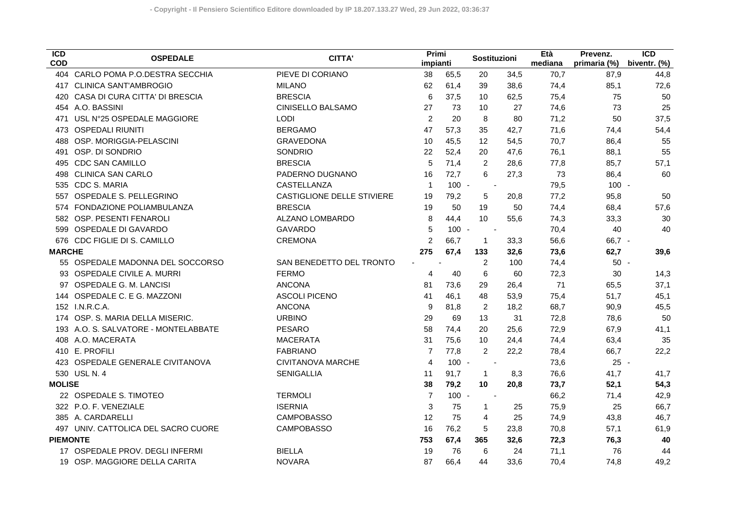| $\overline{ICD}$<br><b>COD</b> | <b>OSPEDALE</b>                     | CITTA'                     | Primi<br>impianti |         | Sostituzioni             |      | Età<br>mediana | Prevenz.<br>primaria (%) | $\overline{ICD}$<br>biventr. (%) |
|--------------------------------|-------------------------------------|----------------------------|-------------------|---------|--------------------------|------|----------------|--------------------------|----------------------------------|
|                                | 404 CARLO POMA P.O.DESTRA SECCHIA   | PIEVE DI CORIANO           | 38                | 65,5    | 20                       | 34,5 | 70,7           | 87,9                     | 44,8                             |
|                                | 417 CLINICA SANT'AMBROGIO           | <b>MILANO</b>              | 62                | 61,4    | 39                       | 38,6 | 74,4           | 85,1                     | 72,6                             |
| 420                            | CASA DI CURA CITTA' DI BRESCIA      | <b>BRESCIA</b>             | 6                 | 37,5    | 10                       | 62,5 | 75,4           | 75                       | 50                               |
|                                | 454 A.O. BASSINI                    | CINISELLO BALSAMO          | 27                | 73      | 10                       | 27   | 74,6           | 73                       | 25                               |
| 471                            | USL N°25 OSPEDALE MAGGIORE          | <b>LODI</b>                | 2                 | 20      | 8                        | 80   | 71,2           | 50                       | 37,5                             |
| 473                            | <b>OSPEDALI RIUNITI</b>             | <b>BERGAMO</b>             | 47                | 57,3    | 35                       | 42,7 | 71,6           | 74,4                     | 54,4                             |
| 488                            | OSP. MORIGGIA-PELASCINI             | <b>GRAVEDONA</b>           | 10                | 45,5    | 12                       | 54,5 | 70,7           | 86,4                     | 55                               |
| 491                            | OSP. DI SONDRIO                     | SONDRIO                    | 22                | 52,4    | 20                       | 47,6 | 76,1           | 88,1                     | 55                               |
| 495                            | <b>CDC SAN CAMILLO</b>              | <b>BRESCIA</b>             | 5                 | 71,4    | 2                        | 28,6 | 77,8           | 85,7                     | 57,1                             |
| 498                            | <b>CLINICA SAN CARLO</b>            | PADERNO DUGNANO            | 16                | 72,7    | 6                        | 27,3 | 73             | 86,4                     | 60                               |
| 535                            | <b>CDC S. MARIA</b>                 | CASTELLANZA                | $\overline{1}$    | $100 -$ | $\sim$                   |      | 79,5           | $100 -$                  |                                  |
| 557                            | OSPEDALE S. PELLEGRINO              | CASTIGLIONE DELLE STIVIERE | 19                | 79,2    | 5                        | 20,8 | 77,2           | 95,8                     | 50                               |
| 574                            | FONDAZIONE POLIAMBULANZA            | <b>BRESCIA</b>             | 19                | 50      | 19                       | 50   | 74,4           | 68,4                     | 57,6                             |
|                                | 582 OSP. PESENTI FENAROLI           | ALZANO LOMBARDO            | 8                 | 44,4    | 10                       | 55,6 | 74,3           | 33,3                     | 30                               |
|                                | 599 OSPEDALE DI GAVARDO             | <b>GAVARDO</b>             | 5                 | $100 -$ | $\overline{\phantom{a}}$ |      | 70,4           | 40                       | 40                               |
| 676                            | CDC FIGLIE DI S. CAMILLO            | <b>CREMONA</b>             | $\overline{c}$    | 66,7    | $\mathbf{1}$             | 33,3 | 56,6           | 66,7 -                   |                                  |
| <b>MARCHE</b>                  |                                     |                            | 275               | 67,4    | 133                      | 32,6 | 73,6           | 62,7                     | 39,6                             |
|                                | 55 OSPEDALE MADONNA DEL SOCCORSO    | SAN BENEDETTO DEL TRONTO   | $\blacksquare$    |         | 2                        | 100  | 74,4           | $50 -$                   |                                  |
|                                | 93 OSPEDALE CIVILE A. MURRI         | <b>FERMO</b>               | 4                 | 40      | 6                        | 60   | 72,3           | 30                       | 14,3                             |
|                                | OSPEDALE G. M. LANCISI              | <b>ANCONA</b>              | 81                | 73,6    | 29                       | 26,4 | 71             | 65,5                     | 37,1                             |
| 144                            | OSPEDALE C. E G. MAZZONI            | <b>ASCOLI PICENO</b>       | 41                | 46,1    | 48                       | 53,9 | 75,4           | 51,7                     | 45,1                             |
|                                | 152 I.N.R.C.A.                      | <b>ANCONA</b>              | 9                 | 81.8    | 2                        | 18,2 | 68,7           | 90,9                     | 45,5                             |
| 174                            | OSP. S. MARIA DELLA MISERIC.        | <b>URBINO</b>              | 29                | 69      | 13                       | 31   | 72,8           | 78,6                     | 50                               |
| 193                            | A.O. S. SALVATORE - MONTELABBATE    | <b>PESARO</b>              | 58                | 74,4    | 20                       | 25,6 | 72,9           | 67,9                     | 41,1                             |
| 408                            | A.O. MACERATA                       | <b>MACERATA</b>            | 31                | 75,6    | 10                       | 24,4 | 74,4           | 63,4                     | 35                               |
|                                | 410 E. PROFILI                      | <b>FABRIANO</b>            | 7                 | 77,8    | 2                        | 22,2 | 78,4           | 66,7                     | 22,2                             |
|                                | 423 OSPEDALE GENERALE CIVITANOVA    | CIVITANOVA MARCHE          | $\overline{4}$    | $100 -$ |                          |      | 73,6           | $25 -$                   |                                  |
|                                | 530 USL N. 4                        | <b>SENIGALLIA</b>          | 11                | 91,7    | $\mathbf{1}$             | 8,3  | 76,6           | 41,7                     | 41,7                             |
| <b>MOLISE</b>                  |                                     |                            | 38                | 79,2    | 10                       | 20,8 | 73,7           | 52,1                     | 54,3                             |
|                                | 22 OSPEDALE S. TIMOTEO              | <b>TERMOLI</b>             | 7                 | $100 -$ | $\sim$                   |      | 66,2           | 71,4                     | 42,9                             |
|                                | 322 P.O. F. VENEZIALE               | <b>ISERNIA</b>             | 3                 | 75      | $\mathbf{1}$             | 25   | 75,9           | 25                       | 66,7                             |
|                                | 385 A. CARDARELLI                   | <b>CAMPOBASSO</b>          | $12 \overline{ }$ | 75      | 4                        | 25   | 74,9           | 43,8                     | 46,7                             |
|                                | 497 UNIV. CATTOLICA DEL SACRO CUORE | <b>CAMPOBASSO</b>          | 16                | 76,2    | 5                        | 23,8 | 70,8           | 57,1                     | 61,9                             |
| <b>PIEMONTE</b>                |                                     |                            | 753               | 67,4    | 365                      | 32,6 | 72,3           | 76,3                     | 40                               |
|                                | 17 OSPEDALE PROV. DEGLI INFERMI     | <b>BIELLA</b>              | 19                | 76      | 6                        | 24   | 71,1           | 76                       | 44                               |
|                                | 19 OSP. MAGGIORE DELLA CARITA       | <b>NOVARA</b>              | 87                | 66,4    | 44                       | 33,6 | 70,4           | 74,8                     | 49,2                             |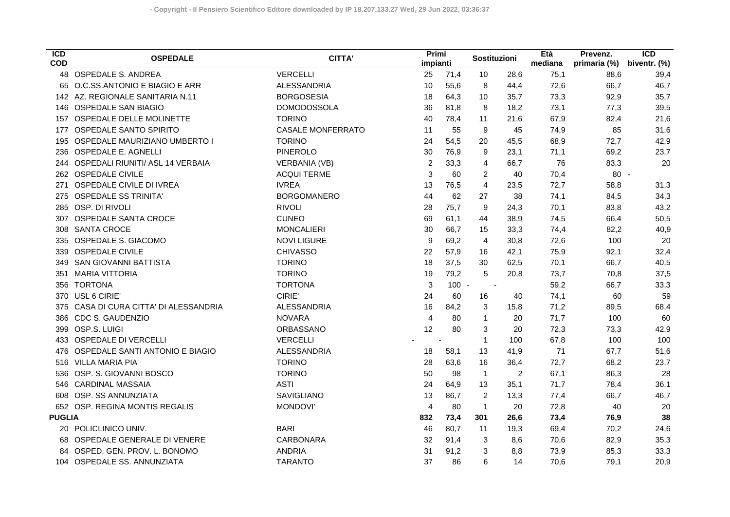| $\overline{ICD}$<br><b>COD</b> | <b>OSPEDALE</b>                    | <b>CITTA'</b>            | Primi<br>impianti |         | Sostituzioni             |      | Età<br>mediana | Prevenz.<br>primaria (%) | $\overline{ICD}$<br>biventr. (%) |
|--------------------------------|------------------------------------|--------------------------|-------------------|---------|--------------------------|------|----------------|--------------------------|----------------------------------|
|                                | 48 OSPEDALE S. ANDREA              | <b>VERCELLI</b>          | 25                | 71,4    | 10                       | 28,6 | 75,1           | 88,6                     | 39,4                             |
|                                | 65 O.C.SS.ANTONIO E BIAGIO E ARR   | <b>ALESSANDRIA</b>       | 10                | 55,6    | 8                        | 44,4 | 72,6           | 66,7                     | 46,7                             |
|                                | 142 AZ. REGIONALE SANITARIA N.11   | <b>BORGOSESIA</b>        | 18                | 64,3    | 10                       | 35,7 | 73,3           | 92,9                     | 35,7                             |
| 146                            | <b>OSPEDALE SAN BIAGIO</b>         | <b>DOMODOSSOLA</b>       | 36                | 81,8    | 8                        | 18,2 | 73,1           | 77,3                     | 39,5                             |
| 157                            | OSPEDALE DELLE MOLINETTE           | <b>TORINO</b>            | 40                | 78,4    | 11                       | 21,6 | 67,9           | 82,4                     | 21,6                             |
| 177                            | <b>OSPEDALE SANTO SPIRITO</b>      | <b>CASALE MONFERRATO</b> | 11                | 55      | 9                        | 45   | 74,9           | 85                       | 31,6                             |
| 195                            | OSPEDALE MAURIZIANO UMBERTO I      | <b>TORINO</b>            | 24                | 54,5    | 20                       | 45,5 | 68,9           | 72,7                     | 42,9                             |
| 236                            | OSPEDALE E. AGNELLI                | <b>PINEROLO</b>          | 30                | 76,9    | 9                        | 23,1 | 71,1           | 69,2                     | 23,7                             |
| 244                            | OSPEDALI RIUNITI/ ASL 14 VERBAIA   | <b>VERBANIA (VB)</b>     | $\overline{2}$    | 33,3    | $\overline{4}$           | 66,7 | 76             | 83,3                     | 20                               |
|                                | 262 OSPEDALE CIVILE                | <b>ACQUI TERME</b>       | 3                 | 60      | 2                        | 40   | 70,4           | $80 -$                   |                                  |
| 271                            | OSPEDALE CIVILE DI IVREA           | <b>IVREA</b>             | 13                | 76,5    | $\overline{4}$           | 23,5 | 72,7           | 58,8                     | 31,3                             |
| 275                            | <b>OSPEDALE SS TRINITA'</b>        | <b>BORGOMANERO</b>       | 44                | 62      | 27                       | 38   | 74,1           | 84,5                     | 34,3                             |
| 285                            | OSP. DI RIVOLI                     | <b>RIVOLI</b>            | 28                | 75,7    | 9                        | 24,3 | 70,1           | 83,8                     | 43,2                             |
| 307                            | OSPEDALE SANTA CROCE               | <b>CUNEO</b>             | 69                | 61,1    | 44                       | 38,9 | 74,5           | 66,4                     | 50,5                             |
| 308                            | <b>SANTA CROCE</b>                 | <b>MONCALIERI</b>        | 30                | 66,7    | 15                       | 33,3 | 74,4           | 82,2                     | 40,9                             |
| 335                            | <b>OSPEDALE S. GIACOMO</b>         | <b>NOVI LIGURE</b>       | 9                 | 69,2    | 4                        | 30,8 | 72,6           | 100                      | 20                               |
| 339                            | <b>OSPEDALE CIVILE</b>             | <b>CHIVASSO</b>          | 22                | 57,9    | 16                       | 42,1 | 75,9           | 92,1                     | 32,4                             |
| 349                            | SAN GIOVANNI BATTISTA              | <b>TORINO</b>            | 18                | 37,5    | 30                       | 62,5 | 70,1           | 66,7                     | 40,5                             |
| 351                            | <b>MARIA VITTORIA</b>              | <b>TORINO</b>            | 19                | 79,2    | $\sqrt{5}$               | 20,8 | 73,7           | 70,8                     | 37,5                             |
| 356                            | <b>TORTONA</b>                     | <b>TORTONA</b>           | 3                 | $100 -$ | $\overline{\phantom{a}}$ |      | 59,2           | 66,7                     | 33,3                             |
| 370                            | USL 6 CIRIE'                       | CIRIE'                   | 24                | 60      | 16                       | 40   | 74,1           | 60                       | 59                               |
| 375                            | CASA DI CURA CITTA' DI ALESSANDRIA | ALESSANDRIA              | 16                | 84,2    | 3                        | 15,8 | 71,2           | 89,5                     | 68,4                             |
| 386                            | <b>CDC S. GAUDENZIO</b>            | <b>NOVARA</b>            | $\overline{4}$    | 80      | $\mathbf{1}$             | 20   | 71,7           | 100                      | 60                               |
| 399                            | OSP.S. LUIGI                       | ORBASSANO                | 12                | 80      | 3                        | 20   | 72,3           | 73,3                     | 42,9                             |
| 433                            | <b>OSPEDALE DI VERCELLI</b>        | <b>VERCELLI</b>          |                   |         | $\mathbf{1}$             | 100  | 67,8           | 100                      | 100                              |
| 476                            | OSPEDALE SANTI ANTONIO E BIAGIO    | <b>ALESSANDRIA</b>       | 18                | 58,1    | 13                       | 41,9 | 71             | 67,7                     | 51,6                             |
| 516                            | <b>VILLA MARIA PIA</b>             | <b>TORINO</b>            | 28                | 63,6    | 16                       | 36,4 | 72,7           | 68,2                     | 23,7                             |
| 536                            | OSP. S. GIOVANNI BOSCO             | <b>TORINO</b>            | 50                | 98      | $\mathbf{1}$             | 2    | 67,1           | 86,3                     | 28                               |
| 546                            | <b>CARDINAL MASSAIA</b>            | <b>ASTI</b>              | 24                | 64,9    | 13                       | 35,1 | 71,7           | 78,4                     | 36,1                             |
| 608                            | OSP. SS ANNUNZIATA                 | SAVIGLIANO               | 13                | 86,7    | 2                        | 13,3 | 77,4           | 66,7                     | 46,7                             |
|                                | 652 OSP. REGINA MONTIS REGALIS     | <b>MONDOVI'</b>          | $\overline{4}$    | 80      | $\mathbf{1}$             | 20   | 72,8           | 40                       | 20                               |
| <b>PUGLIA</b>                  |                                    |                          | 832               | 73,4    | 301                      | 26,6 | 73,4           | 76,9                     | 38                               |
| 20                             | POLICLINICO UNIV.                  | <b>BARI</b>              | 46                | 80,7    | 11                       | 19,3 | 69,4           | 70,2                     | 24,6                             |
|                                | 68 OSPEDALE GENERALE DI VENERE     | CARBONARA                | 32                | 91,4    | 3                        | 8,6  | 70,6           | 82,9                     | 35,3                             |
| 84                             | OSPED. GEN. PROV. L. BONOMO        | <b>ANDRIA</b>            | 31                | 91,2    | 3                        | 8,8  | 73,9           | 85,3                     | 33,3                             |
|                                | 104 OSPEDALE SS. ANNUNZIATA        | <b>TARANTO</b>           | 37                | 86      | 6                        | 14   | 70,6           | 79,1                     | 20,9                             |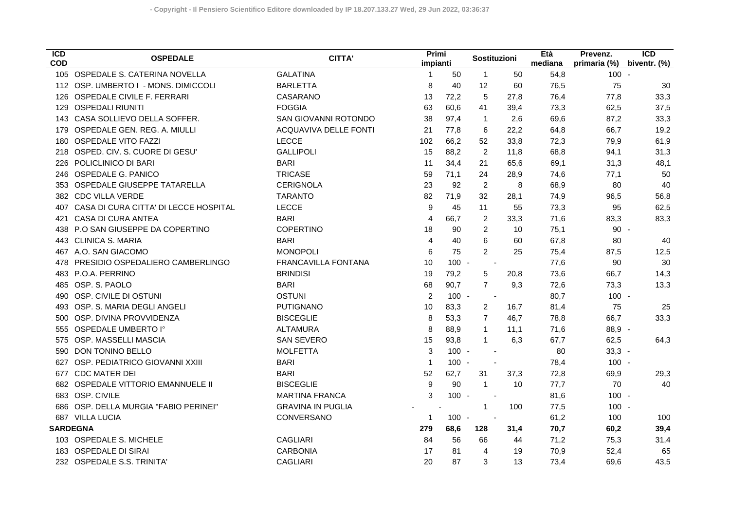| $\overline{ICD}$<br><b>COD</b> | <b>OSPEDALE</b>                       | <b>CITTA'</b>            | Primi<br>impianti |         | Sostituzioni             |      | Età<br>mediana | Prevenz.<br>primaria (%) | $\overline{ICD}$<br>biventr. (%) |
|--------------------------------|---------------------------------------|--------------------------|-------------------|---------|--------------------------|------|----------------|--------------------------|----------------------------------|
|                                | 105 OSPEDALE S. CATERINA NOVELLA      | <b>GALATINA</b>          | $\mathbf{1}$      | 50      | $\mathbf{1}$             | 50   | 54,8           | $100 -$                  |                                  |
|                                | 112 OSP. UMBERTO I - MONS. DIMICCOLI  | <b>BARLETTA</b>          | 8                 | 40      | 12                       | 60   | 76,5           | 75                       | 30                               |
| 126                            | OSPEDALE CIVILE F. FERRARI            | CASARANO                 | 13                | 72,2    | $\sqrt{5}$               | 27,8 | 76,4           | 77,8                     | 33,3                             |
| 129                            | <b>OSPEDALI RIUNITI</b>               | <b>FOGGIA</b>            | 63                | 60,6    | 41                       | 39,4 | 73,3           | 62,5                     | 37,5                             |
| 143                            | CASA SOLLIEVO DELLA SOFFER.           | SAN GIOVANNI ROTONDO     | 38                | 97,4    | $\mathbf{1}$             | 2,6  | 69,6           | 87,2                     | 33,3                             |
| 179                            | OSPEDALE GEN. REG. A. MIULLI          | ACQUAVIVA DELLE FONTI    | 21                | 77,8    | 6                        | 22,2 | 64,8           | 66,7                     | 19,2                             |
| 180                            | <b>OSPEDALE VITO FAZZI</b>            | <b>LECCE</b>             | 102               | 66,2    | 52                       | 33,8 | 72,3           | 79,9                     | 61,9                             |
| 218                            | OSPED. CIV. S. CUORE DI GESU'         | <b>GALLIPOLI</b>         | 15                | 88,2    | $\overline{2}$           | 11,8 | 68,8           | 94,1                     | 31,3                             |
| 226                            | POLICLINICO DI BARI                   | <b>BARI</b>              | 11                | 34,4    | 21                       | 65,6 | 69,1           | 31,3                     | 48,1                             |
| 246                            | <b>OSPEDALE G. PANICO</b>             | <b>TRICASE</b>           | 59                | 71,1    | 24                       | 28,9 | 74,6           | 77,1                     | 50                               |
| 353                            | OSPEDALE GIUSEPPE TATARELLA           | <b>CERIGNOLA</b>         | 23                | 92      | $\overline{2}$           | 8    | 68,9           | 80                       | 40                               |
| 382                            | <b>CDC VILLA VERDE</b>                | <b>TARANTO</b>           | 82                | 71,9    | 32                       | 28,1 | 74,9           | 96,5                     | 56,8                             |
| 407                            | CASA DI CURA CITTA' DI LECCE HOSPITAL | <b>LECCE</b>             | 9                 | 45      | 11                       | 55   | 73,3           | 95                       | 62,5                             |
| 421                            | <b>CASA DI CURA ANTEA</b>             | <b>BARI</b>              | $\overline{4}$    | 66.7    | 2                        | 33,3 | 71,6           | 83,3                     | 83,3                             |
| 438                            | P.O SAN GIUSEPPE DA COPERTINO         | COPERTINO                | 18                | 90      | 2                        | 10   | 75,1           | $90 -$                   |                                  |
| 443                            | <b>CLINICA S. MARIA</b>               | <b>BARI</b>              | 4                 | 40      | 6                        | 60   | 67,8           | 80                       | 40                               |
| 467                            | A.O. SAN GIACOMO                      | <b>MONOPOLI</b>          | 6                 | 75      | $\overline{2}$           | 25   | 75,4           | 87,5                     | 12,5                             |
| 478                            | PRESIDIO OSPEDALIERO CAMBERLINGO      | FRANCAVILLA FONTANA      | 10                | $100 -$ | $\overline{\phantom{a}}$ |      | 77,6           | 90                       | 30                               |
| 483                            | P.O.A. PERRINO                        | <b>BRINDISI</b>          | 19                | 79,2    | 5                        | 20,8 | 73,6           | 66,7                     | 14,3                             |
| 485                            | OSP. S. PAOLO                         | <b>BARI</b>              | 68                | 90,7    | $\overline{7}$           | 9,3  | 72,6           | 73,3                     | 13,3                             |
| 490                            | OSP. CIVILE DI OSTUNI                 | <b>OSTUNI</b>            | 2                 | $100 -$ | $\overline{\phantom{a}}$ |      | 80,7           | $100 -$                  |                                  |
| 493                            | OSP. S. MARIA DEGLI ANGELI            | <b>PUTIGNANO</b>         | 10                | 83,3    | $\overline{2}$           | 16,7 | 81,4           | 75                       | 25                               |
| 500                            | OSP. DIVINA PROVVIDENZA               | <b>BISCEGLIE</b>         | 8                 | 53,3    | $\overline{7}$           | 46,7 | 78,8           | 66,7                     | 33,3                             |
| 555                            | OSPEDALE UMBERTO I°                   | <b>ALTAMURA</b>          | 8                 | 88,9    | $\mathbf{1}$             | 11,1 | 71,6           | 88,9 -                   |                                  |
| 575                            | OSP. MASSELLI MASCIA                  | <b>SAN SEVERO</b>        | 15                | 93,8    | $\mathbf{1}$             | 6,3  | 67,7           | 62,5                     | 64,3                             |
| 590                            | DON TONINO BELLO                      | <b>MOLFETTA</b>          | 3                 | $100 -$ |                          |      | 80             | $33,3 -$                 |                                  |
| 627                            | OSP. PEDIATRICO GIOVANNI XXIII        | <b>BARI</b>              | $\mathbf 1$       | $100 -$ |                          |      | 78,4           | $100 -$                  |                                  |
| 677                            | <b>CDC MATER DEI</b>                  | <b>BARI</b>              | 52                | 62,7    | 31                       | 37,3 | 72,8           | 69,9                     | 29,3                             |
| 682                            | OSPEDALE VITTORIO EMANNUELE II        | <b>BISCEGLIE</b>         | $\boldsymbol{9}$  | 90      | $\mathbf{1}$             | 10   | 77,7           | 70                       | 40                               |
|                                | 683 OSP. CIVILE                       | <b>MARTINA FRANCA</b>    | 3                 | $100 -$ |                          |      | 81,6           | $100 -$                  |                                  |
|                                | OSP. DELLA MURGIA "FABIO PERINEI"     | <b>GRAVINA IN PUGLIA</b> |                   |         | $\mathbf{1}$             | 100  | 77,5           | $100 -$                  |                                  |
| 687                            | <b>VILLA LUCIA</b>                    | CONVERSANO               | 1                 | $100 -$ |                          |      | 61,2           | 100                      | 100                              |
| <b>SARDEGNA</b>                |                                       |                          | 279               | 68,6    | 128                      | 31,4 | 70,7           | 60,2                     | 39,4                             |
|                                | 103 OSPEDALE S. MICHELE               | <b>CAGLIARI</b>          | 84                | 56      | 66                       | 44   | 71,2           | 75,3                     | 31,4                             |
| 183                            | <b>OSPEDALE DI SIRAI</b>              | <b>CARBONIA</b>          | 17                | 81      | 4                        | 19   | 70,9           | 52,4                     | 65                               |
|                                | 232 OSPEDALE S.S. TRINITA'            | <b>CAGLIARI</b>          | 20                | 87      | 3                        | 13   | 73,4           | 69,6                     | 43,5                             |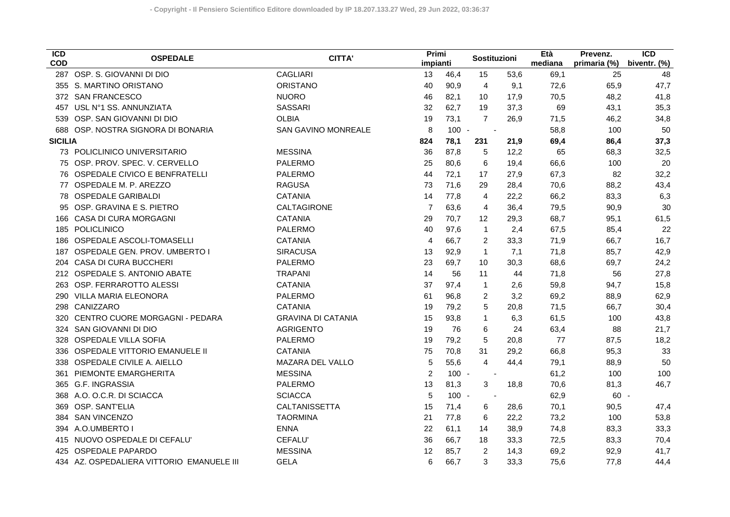| $\overline{ICD}$<br><b>COD</b> | <b>OSPEDALE</b>                           | <b>CITTA'</b>              | Primi<br>impianti |         | Sostituzioni   |      | Età<br>mediana | Prevenz.<br>primaria (%) | $\overline{ICD}$<br>biventr. (%) |
|--------------------------------|-------------------------------------------|----------------------------|-------------------|---------|----------------|------|----------------|--------------------------|----------------------------------|
|                                | 287 OSP. S. GIOVANNI DI DIO               | <b>CAGLIARI</b>            | 13                | 46,4    | 15             | 53,6 | 69,1           | 25                       | 48                               |
|                                | 355 S. MARTINO ORISTANO                   | <b>ORISTANO</b>            | 40                | 90,9    | $\overline{4}$ | 9,1  | 72,6           | 65,9                     | 47,7                             |
|                                | 372 SAN FRANCESCO                         | <b>NUORO</b>               | 46                | 82,1    | 10             | 17,9 | 70,5           | 48,2                     | 41,8                             |
| 457                            | USL N°1 SS. ANNUNZIATA                    | <b>SASSARI</b>             | 32                | 62,7    | 19             | 37,3 | 69             | 43,1                     | 35,3                             |
| 539                            | OSP. SAN GIOVANNI DI DIO                  | <b>OLBIA</b>               | 19                | 73,1    | $\overline{7}$ | 26,9 | 71,5           | 46,2                     | 34,8                             |
| 688                            | OSP. NOSTRA SIGNORA DI BONARIA            | <b>SAN GAVINO MONREALE</b> | 8                 | $100 -$ | $\blacksquare$ |      | 58,8           | 100                      | 50                               |
| <b>SICILIA</b>                 |                                           |                            | 824               | 78,1    | 231            | 21,9 | 69,4           | 86,4                     | 37,3                             |
|                                | 73 POLICLINICO UNIVERSITARIO              | <b>MESSINA</b>             | 36                | 87,8    | 5              | 12,2 | 65             | 68,3                     | 32,5                             |
|                                | 75 OSP. PROV. SPEC. V. CERVELLO           | <b>PALERMO</b>             | 25                | 80,6    | 6              | 19,4 | 66,6           | 100                      | 20                               |
|                                | 76 OSPEDALE CIVICO E BENFRATELLI          | <b>PALERMO</b>             | 44                | 72,1    | 17             | 27,9 | 67,3           | 82                       | 32,2                             |
| 77                             | OSPEDALE M. P. AREZZO                     | <b>RAGUSA</b>              | 73                | 71,6    | 29             | 28,4 | 70,6           | 88,2                     | 43,4                             |
|                                | 78 OSPEDALE GARIBALDI                     | <b>CATANIA</b>             | 14                | 77,8    | $\overline{4}$ | 22,2 | 66,2           | 83,3                     | 6,3                              |
| 95                             | OSP. GRAVINA E S. PIETRO                  | CALTAGIRONE                | 7                 | 63,6    | $\overline{4}$ | 36,4 | 79,5           | 90,9                     | 30                               |
| 166                            | CASA DI CURA MORGAGNI                     | <b>CATANIA</b>             | 29                | 70,7    | 12             | 29,3 | 68,7           | 95,1                     | 61,5                             |
| 185                            | POLICLINICO                               | <b>PALERMO</b>             | 40                | 97,6    | $\mathbf{1}$   | 2,4  | 67,5           | 85,4                     | 22                               |
| 186                            | OSPEDALE ASCOLI-TOMASELLI                 | <b>CATANIA</b>             | 4                 | 66,7    | $\overline{c}$ | 33,3 | 71,9           | 66,7                     | 16,7                             |
| 187                            | OSPEDALE GEN. PROV. UMBERTO I             | <b>SIRACUSA</b>            | 13                | 92,9    | $\mathbf{1}$   | 7,1  | 71,8           | 85,7                     | 42,9                             |
| 204                            | CASA DI CURA BUCCHERI                     | <b>PALERMO</b>             | 23                | 69,7    | 10             | 30,3 | 68,6           | 69,7                     | 24,2                             |
| 212                            | OSPEDALE S. ANTONIO ABATE                 | <b>TRAPANI</b>             | 14                | 56      | 11             | 44   | 71,8           | 56                       | 27,8                             |
| 263                            | OSP. FERRAROTTO ALESSI                    | <b>CATANIA</b>             | 37                | 97,4    | $\mathbf{1}$   | 2,6  | 59,8           | 94,7                     | 15,8                             |
| 290                            | VILLA MARIA ELEONORA                      | <b>PALERMO</b>             | 61                | 96,8    | $\overline{c}$ | 3,2  | 69,2           | 88,9                     | 62,9                             |
| 298                            | CANIZZARO                                 | <b>CATANIA</b>             | 19                | 79,2    | 5              | 20,8 | 71,5           | 66,7                     | 30,4                             |
| 320                            | CENTRO CUORE MORGAGNI - PEDARA            | <b>GRAVINA DI CATANIA</b>  | 15                | 93,8    | $\mathbf{1}$   | 6,3  | 61,5           | 100                      | 43,8                             |
| 324                            | SAN GIOVANNI DI DIO                       | <b>AGRIGENTO</b>           | 19                | 76      | 6              | 24   | 63,4           | 88                       | 21,7                             |
| 328                            | OSPEDALE VILLA SOFIA                      | <b>PALERMO</b>             | 19                | 79,2    | 5              | 20,8 | 77             | 87,5                     | 18,2                             |
| 336                            | OSPEDALE VITTORIO EMANUELE II             | <b>CATANIA</b>             | 75                | 70,8    | 31             | 29,2 | 66,8           | 95,3                     | 33                               |
| 338                            | OSPEDALE CIVILE A. AIELLO                 | MAZARA DEL VALLO           | 5                 | 55,6    | $\overline{4}$ | 44,4 | 79,1           | 88,9                     | 50                               |
| 361                            | PIEMONTE EMARGHERITA                      | <b>MESSINA</b>             | $\overline{c}$    | $100 -$ |                |      | 61,2           | 100                      | 100                              |
|                                | 365 G.F. INGRASSIA                        | <b>PALERMO</b>             | 13                | 81,3    | 3              | 18,8 | 70,6           | 81,3                     | 46,7                             |
| 368                            | A.O. O.C.R. DI SCIACCA                    | <b>SCIACCA</b>             | 5                 | $100 -$ |                |      | 62,9           | $60 -$                   |                                  |
| 369                            | OSP. SANT'ELIA                            | CALTANISSETTA              | 15                | 71,4    | 6              | 28,6 | 70,1           | 90,5                     | 47,4                             |
| 384                            | <b>SAN VINCENZO</b>                       | <b>TAORMINA</b>            | 21                | 77,8    | 6              | 22,2 | 73,2           | 100                      | 53,8                             |
| 394                            | A.O.UMBERTO I                             | <b>ENNA</b>                | 22                | 61,1    | 14             | 38,9 | 74,8           | 83,3                     | 33,3                             |
| 415                            | NUOVO OSPEDALE DI CEFALU'                 | CEFALU'                    | 36                | 66,7    | 18             | 33,3 | 72,5           | 83,3                     | 70,4                             |
| 425                            | <b>OSPEDALE PAPARDO</b>                   | <b>MESSINA</b>             | 12                | 85,7    | 2              | 14,3 | 69,2           | 92,9                     | 41,7                             |
|                                | 434 AZ. OSPEDALIERA VITTORIO EMANUELE III | <b>GELA</b>                | 6                 | 66,7    | 3              | 33,3 | 75,6           | 77,8                     | 44,4                             |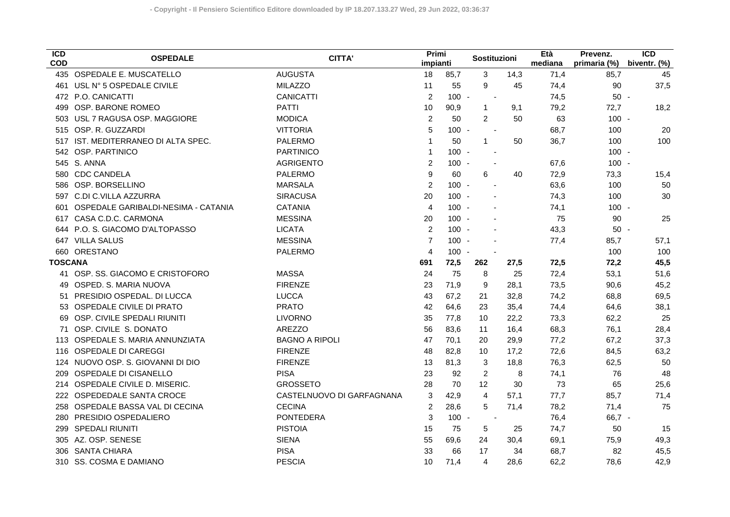| $\overline{ICD}$<br><b>COD</b> | <b>OSPEDALE</b>                     | <b>CITTA'</b>             | Primi<br>impianti |         | Sostituzioni             |      | Età<br>mediana | Prevenz.<br>primaria (%) | $\overline{ICD}$<br>biventr. (%) |
|--------------------------------|-------------------------------------|---------------------------|-------------------|---------|--------------------------|------|----------------|--------------------------|----------------------------------|
|                                | 435 OSPEDALE E. MUSCATELLO          | <b>AUGUSTA</b>            | 18                | 85,7    | $\mathbf{3}$             | 14,3 | 71,4           | 85,7                     | 45                               |
|                                | 461 USL Nº 5 OSPEDALE CIVILE        | <b>MILAZZO</b>            | 11                | 55      | 9                        | 45   | 74,4           | 90                       | 37,5                             |
|                                | 472 P.O. CANICATTI                  | <b>CANICATTI</b>          | $\overline{2}$    | $100 -$ | $\overline{\phantom{a}}$ |      | 74,5           | $50 -$                   |                                  |
| 499                            | OSP. BARONE ROMEO                   | <b>PATTI</b>              | 10                | 90,9    | $\mathbf{1}$             | 9,1  | 79,2           | 72,7                     | 18,2                             |
| 503                            | USL 7 RAGUSA OSP. MAGGIORE          | <b>MODICA</b>             | $\overline{2}$    | 50      | $\overline{2}$           | 50   | 63             | $100 -$                  |                                  |
| 515                            | OSP. R. GUZZARDI                    | <b>VITTORIA</b>           | 5                 | $100 -$ | $\blacksquare$           |      | 68,7           | 100                      | 20                               |
| 517                            | IST. MEDITERRANEO DI ALTA SPEC.     | <b>PALERMO</b>            | $\mathbf{1}$      | 50      | $\mathbf{1}$             | 50   | 36,7           | 100                      | 100                              |
| 542                            | OSP. PARTINICO                      | <b>PARTINICO</b>          | 1                 | $100 -$ | $\sim$                   |      |                | $100 -$                  |                                  |
|                                | 545 S. ANNA                         | <b>AGRIGENTO</b>          | $\overline{c}$    | $100 -$ |                          |      | 67,6           | $100 -$                  |                                  |
| 580                            | <b>CDC CANDELA</b>                  | <b>PALERMO</b>            | 9                 | 60      | 6                        | 40   | 72,9           | 73,3                     | 15,4                             |
| 586                            | OSP. BORSELLINO                     | <b>MARSALA</b>            | $\overline{2}$    | $100 -$ |                          |      | 63,6           | 100                      | 50                               |
|                                | 597 C.DI C.VILLA AZZURRA            | <b>SIRACUSA</b>           | 20                | $100 -$ |                          |      | 74,3           | 100                      | 30                               |
| 601                            | OSPEDALE GARIBALDI-NESIMA - CATANIA | <b>CATANIA</b>            | $\overline{4}$    | $100 -$ |                          |      | 74,1           | $100 -$                  |                                  |
|                                | 617 CASA C.D.C. CARMONA             | <b>MESSINA</b>            | 20                | $100 -$ |                          |      | 75             | 90                       | 25                               |
|                                | 644 P.O. S. GIACOMO D'ALTOPASSO     | <b>LICATA</b>             | $\overline{2}$    | $100 -$ |                          |      | 43,3           | $50 -$                   |                                  |
|                                | 647 VILLA SALUS                     | <b>MESSINA</b>            | $\overline{7}$    | $100 -$ |                          |      | 77,4           | 85,7                     | 57,1                             |
| 660                            | ORESTANO                            | <b>PALERMO</b>            | 4                 | $100 -$ |                          |      |                | 100                      | 100                              |
| <b>TOSCANA</b>                 |                                     |                           | 691               | 72,5    | 262                      | 27,5 | 72,5           | 72,2                     | 45,5                             |
|                                | OSP. SS. GIACOMO E CRISTOFORO       | <b>MASSA</b>              | 24                | 75      | 8                        | 25   | 72,4           | 53,1                     | 51,6                             |
| 49                             | OSPED. S. MARIA NUOVA               | <b>FIRENZE</b>            | 23                | 71,9    | 9                        | 28,1 | 73,5           | 90,6                     | 45,2                             |
| 51                             | PRESIDIO OSPEDAL. DI LUCCA          | <b>LUCCA</b>              | 43                | 67,2    | 21                       | 32,8 | 74,2           | 68,8                     | 69,5                             |
| 53                             | OSPEDALE CIVILE DI PRATO            | <b>PRATO</b>              | 42                | 64,6    | 23                       | 35,4 | 74,4           | 64,6                     | 38,1                             |
| 69                             | OSP. CIVILE SPEDALI RIUNITI         | <b>LIVORNO</b>            | 35                | 77,8    | 10                       | 22,2 | 73,3           | 62,2                     | 25                               |
| 71                             | OSP. CIVILE S. DONATO               | <b>AREZZO</b>             | 56                | 83,6    | 11                       | 16,4 | 68,3           | 76,1                     | 28,4                             |
| 113                            | OSPEDALE S. MARIA ANNUNZIATA        | <b>BAGNO A RIPOLI</b>     | 47                | 70,1    | 20                       | 29,9 | 77,2           | 67,2                     | 37,3                             |
| 116                            | <b>OSPEDALE DI CAREGGI</b>          | <b>FIRENZE</b>            | 48                | 82,8    | 10                       | 17,2 | 72,6           | 84,5                     | 63,2                             |
| 124                            | NUOVO OSP. S. GIOVANNI DI DIO       | <b>FIRENZE</b>            | 13                | 81,3    | 3                        | 18,8 | 76,3           | 62,5                     | 50                               |
| 209                            | OSPEDALE DI CISANELLO               | <b>PISA</b>               | 23                | 92      | $\overline{2}$           | 8    | 74,1           | 76                       | 48                               |
| 214                            | OSPEDALE CIVILE D. MISERIC.         | <b>GROSSETO</b>           | 28                | 70      | 12                       | 30   | 73             | 65                       | 25,6                             |
|                                | 222 OSPEDEDALE SANTA CROCE          | CASTELNUOVO DI GARFAGNANA | 3                 | 42,9    | $\overline{\mathbf{4}}$  | 57,1 | 77,7           | 85,7                     | 71,4                             |
|                                | 258 OSPEDALE BASSA VAL DI CECINA    | <b>CECINA</b>             | $\overline{c}$    | 28,6    | 5                        | 71,4 | 78,2           | 71,4                     | 75                               |
|                                | 280 PRESIDIO OSPEDALIERO            | <b>PONTEDERA</b>          | $\sqrt{3}$        | $100 -$ | $\overline{\phantom{a}}$ |      | 76,4           | $66,7 -$                 |                                  |
| 299                            | SPEDALI RIUNITI                     | <b>PISTOIA</b>            | 15                | 75      | 5                        | 25   | 74,7           | 50                       | 15                               |
| 305                            | AZ. OSP. SENESE                     | <b>SIENA</b>              | 55                | 69,6    | 24                       | 30,4 | 69,1           | 75,9                     | 49,3                             |
| 306                            | <b>SANTA CHIARA</b>                 | <b>PISA</b>               | 33                | 66      | 17                       | 34   | 68,7           | 82                       | 45,5                             |
|                                | 310 SS. COSMA E DAMIANO             | <b>PESCIA</b>             | 10                | 71,4    | $\overline{4}$           | 28,6 | 62,2           | 78,6                     | 42,9                             |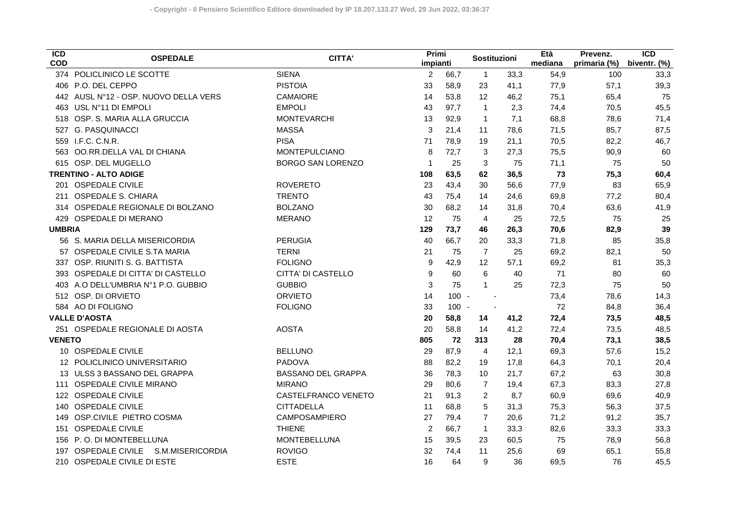| $\overline{ICD}$<br><b>COD</b> | <b>OSPEDALE</b>                    | CITTA'                    | Primi<br>impianti |         | <b>Sostituzioni</b> |      | Età<br>mediana | Prevenz.<br>primaria (%) | $\overline{ICD}$<br>biventr. (%) |
|--------------------------------|------------------------------------|---------------------------|-------------------|---------|---------------------|------|----------------|--------------------------|----------------------------------|
| 374                            | POLICLINICO LE SCOTTE              | <b>SIENA</b>              | $\overline{2}$    | 66,7    | $\mathbf{1}$        | 33,3 | 54,9           | 100                      | 33,3                             |
|                                | 406 P.O. DEL CEPPO                 | <b>PISTOIA</b>            | 33                | 58,9    | 23                  | 41,1 | 77,9           | 57,1                     | 39,3                             |
| 442                            | AUSL N°12 - OSP. NUOVO DELLA VERS  | CAMAIORE                  | 14                | 53,8    | 12                  | 46,2 | 75,1           | 65,4                     | 75                               |
| 463                            | USL N°11 DI EMPOLI                 | <b>EMPOLI</b>             | 43                | 97,7    | $\mathbf{1}$        | 2,3  | 74,4           | 70,5                     | 45,5                             |
| 518                            | OSP. S. MARIA ALLA GRUCCIA         | <b>MONTEVARCHI</b>        | 13                | 92,9    | $\mathbf{1}$        | 7,1  | 68,8           | 78,6                     | 71,4                             |
| 527                            | <b>G. PASQUINACCI</b>              | <b>MASSA</b>              | 3                 | 21,4    | 11                  | 78,6 | 71,5           | 85,7                     | 87,5                             |
|                                | 559 I.F.C. C.N.R.                  | <b>PISA</b>               | 71                | 78,9    | 19                  | 21,1 | 70,5           | 82,2                     | 46,7                             |
| 563                            | OO.RR.DELLA VAL DI CHIANA          | <b>MONTEPULCIANO</b>      | 8                 | 72,7    | 3                   | 27,3 | 75,5           | 90,9                     | 60                               |
| 615                            | OSP. DEL MUGELLO                   | <b>BORGO SAN LORENZO</b>  | $\mathbf 1$       | 25      | 3                   | 75   | 71,1           | 75                       | 50                               |
|                                | <b>TRENTINO - ALTO ADIGE</b>       |                           | 108               | 63,5    | 62                  | 36,5 | 73             | 75,3                     | 60,4                             |
| 201                            | <b>OSPEDALE CIVILE</b>             | <b>ROVERETO</b>           | 23                | 43,4    | 30                  | 56,6 | 77,9           | 83                       | 65,9                             |
| 211                            | <b>OSPEDALE S. CHIARA</b>          | <b>TRENTO</b>             | 43                | 75,4    | 14                  | 24,6 | 69,8           | 77,2                     | 80,4                             |
|                                | 314 OSPEDALE REGIONALE DI BOLZANO  | <b>BOLZANO</b>            | 30                | 68,2    | 14                  | 31,8 | 70,4           | 63,6                     | 41,9                             |
| 429                            | OSPEDALE DI MERANO                 | <b>MERANO</b>             | 12                | 75      | 4                   | 25   | 72,5           | 75                       | 25                               |
| <b>UMBRIA</b>                  |                                    |                           | 129               | 73,7    | 46                  | 26,3 | 70,6           | 82,9                     | 39                               |
|                                | 56 S. MARIA DELLA MISERICORDIA     | <b>PERUGIA</b>            | 40                | 66,7    | 20                  | 33,3 | 71,8           | 85                       | 35,8                             |
|                                | OSPEDALE CIVILE S.TA MARIA         | <b>TERNI</b>              | 21                | 75      | $\overline{7}$      | 25   | 69,2           | 82,1                     | 50                               |
|                                | 337 OSP. RIUNITI S. G. BATTISTA    | <b>FOLIGNO</b>            | 9                 | 42,9    | 12                  | 57,1 | 69,2           | 81                       | 35,3                             |
|                                | 393 OSPEDALE DI CITTA' DI CASTELLO | <b>CITTA' DI CASTELLO</b> | 9                 | 60      | 6                   | 40   | 71             | 80                       | 60                               |
| 403                            | A.O DELL'UMBRIA N°1 P.O. GUBBIO    | <b>GUBBIO</b>             | 3                 | 75      | $\mathbf{1}$        | 25   | 72,3           | 75                       | 50                               |
|                                | 512 OSP. DI ORVIETO                | <b>ORVIETO</b>            | 14                | $100 -$ |                     |      | 73,4           | 78,6                     | 14,3                             |
|                                | 584 AO DI FOLIGNO                  | <b>FOLIGNO</b>            | 33                | $100 -$ |                     |      | 72             | 84,8                     | 36,4                             |
|                                | <b>VALLE D'AOSTA</b>               |                           | 20                | 58,8    | 14                  | 41,2 | 72,4           | 73,5                     | 48,5                             |
|                                | 251 OSPEDALE REGIONALE DI AOSTA    | <b>AOSTA</b>              | 20                | 58,8    | 14                  | 41,2 | 72,4           | 73,5                     | 48,5                             |
| <b>VENETO</b>                  |                                    |                           | 805               | 72      | 313                 | 28   | 70,4           | 73,1                     | 38,5                             |
|                                | 10 OSPEDALE CIVILE                 | <b>BELLUNO</b>            | 29                | 87,9    | 4                   | 12,1 | 69,3           | 57,6                     | 15,2                             |
|                                | 12 POLICLINICO UNIVERSITARIO       | <b>PADOVA</b>             | 88                | 82,2    | 19                  | 17,8 | 64,3           | 70,1                     | 20,4                             |
|                                | 13 ULSS 3 BASSANO DEL GRAPPA       | <b>BASSANO DEL GRAPPA</b> | 36                | 78,3    | 10                  | 21,7 | 67,2           | 63                       | 30,8                             |
| 111                            | <b>OSPEDALE CIVILE MIRANO</b>      | <b>MIRANO</b>             | 29                | 80,6    | $\overline{7}$      | 19,4 | 67,3           | 83,3                     | 27,8                             |
| 122                            | <b>OSPEDALE CIVILE</b>             | CASTELFRANCO VENETO       | 21                | 91,3    | $\overline{2}$      | 8,7  | 60,9           | 69,6                     | 40,9                             |
| 140                            | <b>OSPEDALE CIVILE</b>             | <b>CITTADELLA</b>         | 11                | 68,8    | 5                   | 31,3 | 75,3           | 56,3                     | 37,5                             |
| 149                            | OSP.CIVILE PIETRO COSMA            | CAMPOSAMPIERO             | 27                | 79,4    | $\overline{7}$      | 20,6 | 71,2           | 91,2                     | 35,7                             |
| 151                            | <b>OSPEDALE CIVILE</b>             | <b>THIENE</b>             | 2                 | 66,7    | $\mathbf{1}$        | 33,3 | 82,6           | 33,3                     | 33,3                             |
| 156                            | P.O. DI MONTEBELLUNA               | <b>MONTEBELLUNA</b>       | 15                | 39,5    | 23                  | 60,5 | 75             | 78,9                     | 56,8                             |
| 197                            | OSPEDALE CIVILE S.M.MISERICORDIA   | <b>ROVIGO</b>             | 32                | 74,4    | 11                  | 25,6 | 69             | 65,1                     | 55,8                             |
|                                | 210 OSPEDALE CIVILE DI ESTE        | <b>ESTE</b>               | 16                | 64      | 9                   | 36   | 69,5           | 76                       | 45,5                             |